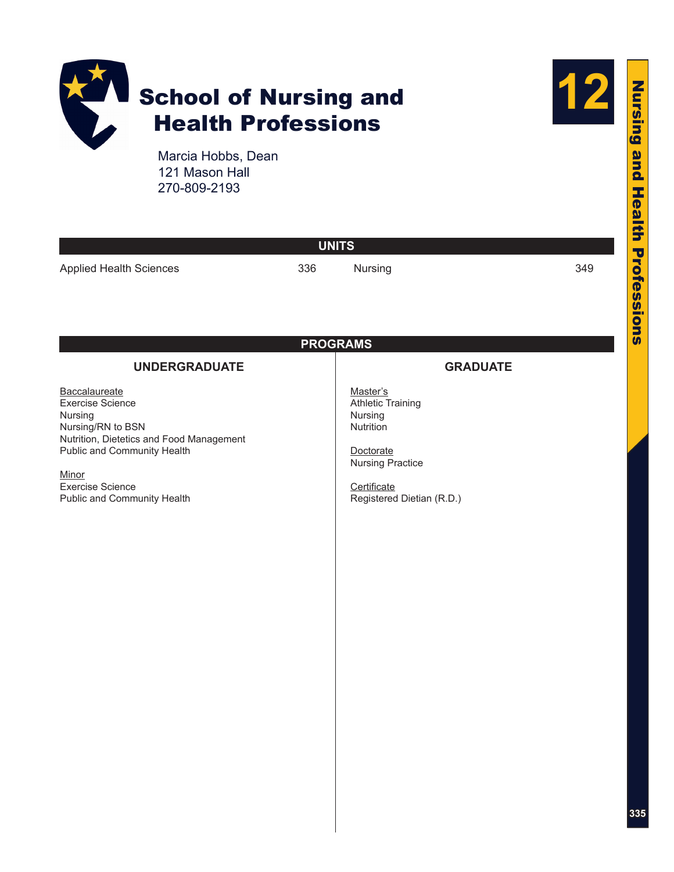



Marcia Hobbs, Dean 121 Mason Hall 270-809-2193

| <b>UNITS</b>                                                                                                                                                                                                           |     |                                                                                                                                                  |     |  |  |  |
|------------------------------------------------------------------------------------------------------------------------------------------------------------------------------------------------------------------------|-----|--------------------------------------------------------------------------------------------------------------------------------------------------|-----|--|--|--|
| <b>Applied Health Sciences</b>                                                                                                                                                                                         | 336 | Nursing                                                                                                                                          | 349 |  |  |  |
| <b>PROGRAMS</b><br><b>UNDERGRADUATE</b><br><b>GRADUATE</b>                                                                                                                                                             |     |                                                                                                                                                  |     |  |  |  |
| Baccalaureate<br><b>Exercise Science</b><br>Nursing<br>Nursing/RN to BSN<br>Nutrition, Dietetics and Food Management<br>Public and Community Health<br>Minor<br><b>Exercise Science</b><br>Public and Community Health |     | Master's<br><b>Athletic Training</b><br>Nursing<br>Nutrition<br>Doctorate<br><b>Nursing Practice</b><br>Certificate<br>Registered Dietian (R.D.) |     |  |  |  |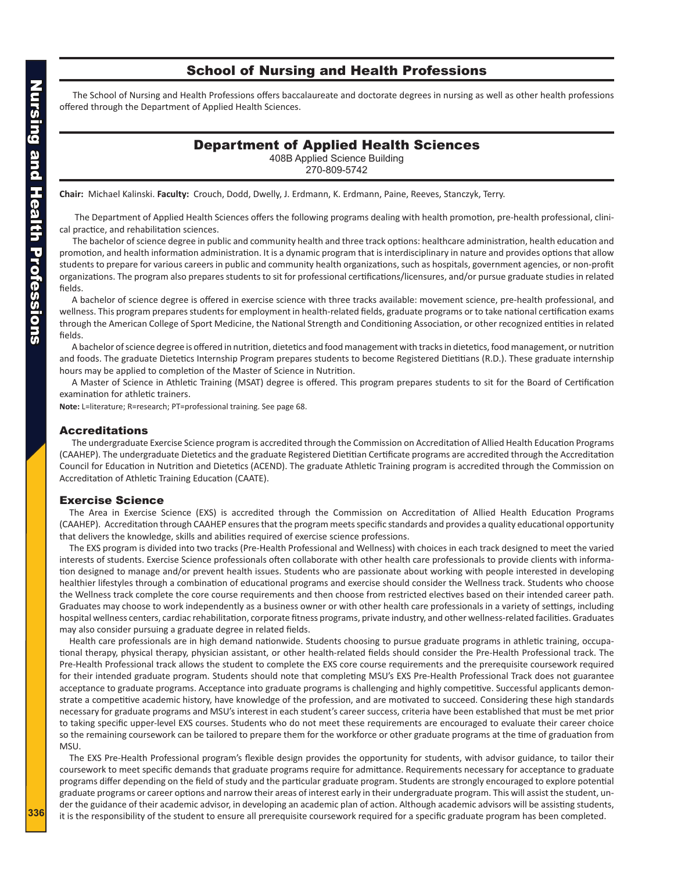## School of Nursing and Health Professions

<span id="page-1-0"></span>The School of Nursing and Health Professions offers baccalaureate and doctorate degrees in nursing as well as other health professions offered through the Department of Applied Health Sciences.

## Department of Applied Health Sciences

408B Applied Science Building

270-809-5742

**Chair:** Michael Kalinski. **Faculty:** Crouch, Dodd, Dwelly, J. Erdmann, K. Erdmann, Paine, Reeves, Stanczyk, Terry.

 The Department of Applied Health Sciences offers the following programs dealing with health promotion, pre-health professional, clinical practice, and rehabilitation sciences.

The bachelor of science degree in public and community health and three track options: healthcare administration, health education and promotion, and health information administration. It is a dynamic program that is interdisciplinary in nature and provides options that allow students to prepare for various careers in public and community health organizations, such as hospitals, government agencies, or non-profit organizations. The program also prepares students to sit for professional certifications/licensures, and/or pursue graduate studies in related fields.

A bachelor of science degree is offered in exercise science with three tracks available: movement science, pre-health professional, and wellness. This program prepares students for employment in health-related fields, graduate programs or to take national certification exams through the American College of Sport Medicine, the National Strength and Conditioning Association, or other recognized entities in related fields.

A bachelor of science degree is offered in nutrition, dietetics and food management with tracks in dietetics, food management, or nutrition and foods. The graduate Dietetics Internship Program prepares students to become Registered Dietitians (R.D.). These graduate internship hours may be applied to completion of the Master of Science in Nutrition.

A Master of Science in Athletic Training (MSAT) degree is offered. This program prepares students to sit for the Board of Certification examination for athletic trainers.

**Note:** L=literature; R=research; PT=professional training. See page 68.

### Accreditations

The undergraduate Exercise Science program is accredited through the Commission on Accreditation of Allied Health Education Programs (CAAHEP). The undergraduate Dietetics and the graduate Registered Dietitian Certificate programs are accredited through the Accreditation Council for Education in Nutrition and Dietetics (ACEND). The graduate Athletic Training program is accredited through the Commission on Accreditation of Athletic Training Education (CAATE).

### Exercise Science

The Area in Exercise Science (EXS) is accredited through the Commission on Accreditation of Allied Health Education Programs (CAAHEP). Accreditation through CAAHEP ensures that the program meets specific standards and provides a quality educational opportunity that delivers the knowledge, skills and abilities required of exercise science professions.

The EXS program is divided into two tracks (Pre-Health Professional and Wellness) with choices in each track designed to meet the varied interests of students. Exercise Science professionals often collaborate with other health care professionals to provide clients with information designed to manage and/or prevent health issues. Students who are passionate about working with people interested in developing healthier lifestyles through a combination of educational programs and exercise should consider the Wellness track. Students who choose the Wellness track complete the core course requirements and then choose from restricted electives based on their intended career path. Graduates may choose to work independently as a business owner or with other health care professionals in a variety of settings, including hospital wellness centers, cardiac rehabilitation, corporate fitness programs, private industry, and other wellness-related facilities. Graduates may also consider pursuing a graduate degree in related fields.

Health care professionals are in high demand nationwide. Students choosing to pursue graduate programs in athletic training, occupational therapy, physical therapy, physician assistant, or other health-related fields should consider the Pre-Health Professional track. The Pre-Health Professional track allows the student to complete the EXS core course requirements and the prerequisite coursework required for their intended graduate program. Students should note that completing MSU's EXS Pre-Health Professional Track does not guarantee acceptance to graduate programs. Acceptance into graduate programs is challenging and highly competitive. Successful applicants demonstrate a competitive academic history, have knowledge of the profession, and are motivated to succeed. Considering these high standards necessary for graduate programs and MSU's interest in each student's career success, criteria have been established that must be met prior to taking specific upper-level EXS courses. Students who do not meet these requirements are encouraged to evaluate their career choice so the remaining coursework can be tailored to prepare them for the workforce or other graduate programs at the time of graduation from MSU.

The EXS Pre-Health Professional program's flexible design provides the opportunity for students, with advisor guidance, to tailor their coursework to meet specific demands that graduate programs require for admittance. Requirements necessary for acceptance to graduate programs differ depending on the field of study and the particular graduate program. Students are strongly encouraged to explore potential graduate programs or career options and narrow their areas of interest early in their undergraduate program. This will assist the student, under the guidance of their academic advisor, in developing an academic plan of action. Although academic advisors will be assisting students, it is the responsibility of the student to ensure all prerequisite coursework required for a specific graduate program has been completed.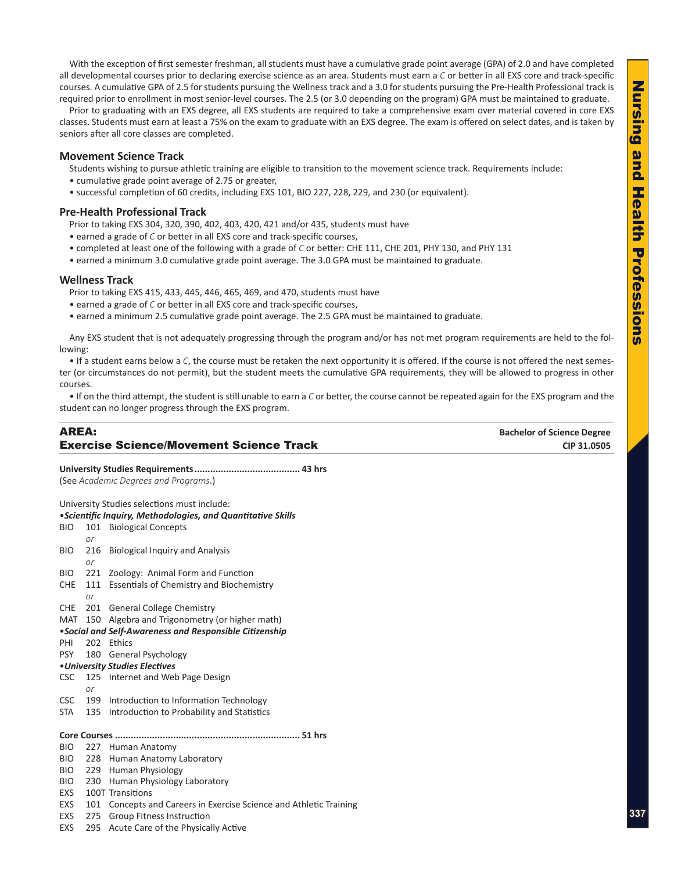With the exception of first semester freshman, all students must have a cumulative grade point average (GPA) of 2.0 and have completed all developmental courses prior to declaring exercise science as an area. Students must earn a *C* or better in all EXS core and track-specific courses. A cumulative GPA of 2.5 for students pursuing the Wellness track and a 3.0 for students pursuing the Pre-Health Professional track is required prior to enrollment in most senior-level courses. The 2.5 (or 3.0 depending on the program) GPA must be maintained to graduate.

Prior to graduating with an EXS degree, all EXS students are required to take a comprehensive exam over material covered in core EXS classes. Students must earn at least a 75% on the exam to graduate with an EXS degree. The exam is offered on select dates, and is taken by seniors after all core classes are completed.

### **Movement Science Track**

Students wishing to pursue athletic training are eligible to transition to the movement science track. Requirements include:

- cumulative grade point average of 2.75 or greater,
- successful completion of 60 credits, including EXS 101, BIO 227, 228, 229, and 230 (or equivalent).

### **Pre-Health Professional Track**

Prior to taking EXS 304, 320, 390, 402, 403, 420, 421 and/or 435, students must have

- earned a grade of *C* or better in all EXS core and track-specific courses,
- completed at least one of the following with a grade of *C* or better: CHE 111, CHE 201, PHY 130, and PHY 131
- earned a minimum 3.0 cumulative grade point average. The 3.0 GPA must be maintained to graduate.

### **Wellness Track**

Prior to taking EXS 415, 433, 445, 446, 465, 469, and 470, students must have

- earned a grade of *C* or better in all EXS core and track-specific courses,
- earned a minimum 2.5 cumulative grade point average. The 2.5 GPA must be maintained to graduate.

Any EXS student that is not adequately progressing through the program and/or has not met program requirements are held to the following:

• If a student earns below a *C*, the course must be retaken the next opportunity it is offered. If the course is not offered the next semester (or circumstances do not permit), but the student meets the cumulative GPA requirements, they will be allowed to progress in other courses.

• If on the third attempt, the student is still unable to earn a *C* or better, the course cannot be repeated again for the EXS program and the student can no longer progress through the EXS program.

| AREA:                                          | <b>Bachelor of Science Degree</b> |
|------------------------------------------------|-----------------------------------|
| <b>Exercise Science/Movement Science Track</b> | CIP 31.0505                       |

**University Studies Requirements........................................ 43 hrs** (See *Academic Degrees and Programs*.)

|            |                  | University Studies selections must include:<br>• Scientific Inquiry, Methodologies, and Quantitative Skills |
|------------|------------------|-------------------------------------------------------------------------------------------------------------|
| BIO        | 101<br>or        | <b>Biological Concepts</b>                                                                                  |
| BIO        | 216<br><b>or</b> | <b>Biological Inquiry and Analysis</b>                                                                      |
| <b>BIO</b> | 221              | Zoology: Animal Form and Function                                                                           |
| <b>CHE</b> | 111<br>or        | <b>Essentials of Chemistry and Biochemistry</b>                                                             |
| <b>CHE</b> | - 201            | <b>General College Chemistry</b>                                                                            |
| MAT        | 150              | Algebra and Trigonometry (or higher math)                                                                   |
|            |                  | •Social and Self-Awareness and Responsible Citizenship                                                      |
| PHI        | 202              | Ethics                                                                                                      |
| <b>PSY</b> | 180              | <b>General Psychology</b>                                                                                   |
|            |                  | • University Studies Electives                                                                              |
| <b>CSC</b> | 125              | Internet and Web Page Design                                                                                |
|            | or               |                                                                                                             |
| <b>CSC</b> |                  | 199 Introduction to Information Technology                                                                  |
| STA        | 135              | Introduction to Probability and Statistics                                                                  |
|            |                  |                                                                                                             |
| <b>BIO</b> |                  | 227 Human Anatomy                                                                                           |
| <b>BIO</b> | 228              | Human Anatomy Laboratory                                                                                    |
| <b>BIO</b> |                  | 229 Human Physiology                                                                                        |
| <b>BIO</b> | 230              | Human Physiology Laboratory                                                                                 |
| EXS        |                  | 100T Transitions                                                                                            |
| EXS        |                  | 101 Concepts and Careers in Exercise Science and Athletic Training                                          |
| EXS        | 275              | <b>Group Fitness Instruction</b>                                                                            |
| <b>EXS</b> | 295              | Acute Care of the Physically Active                                                                         |
|            |                  |                                                                                                             |
|            |                  |                                                                                                             |
|            |                  |                                                                                                             |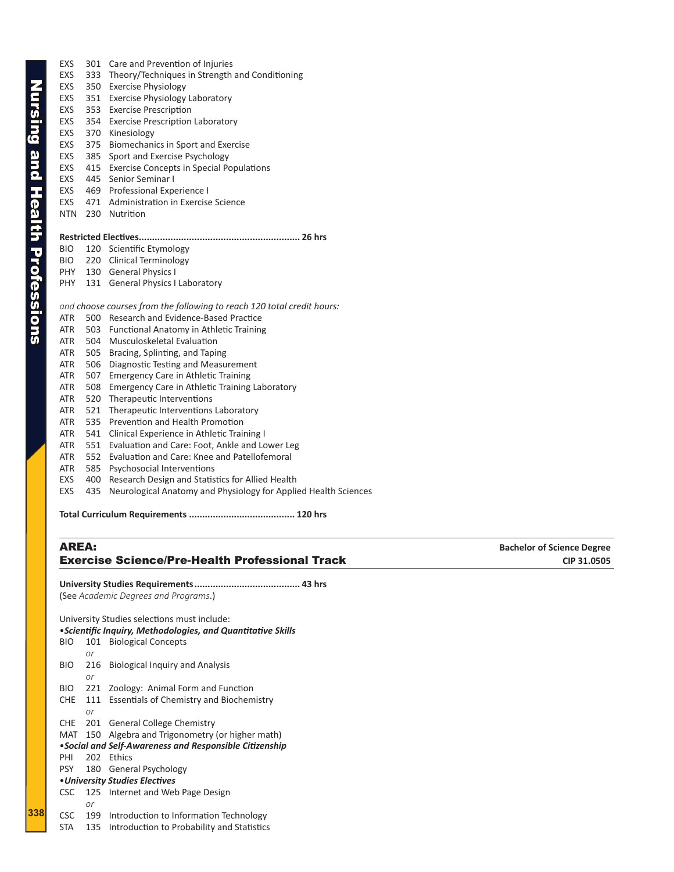**338**

| EXS        | 301 | Care and Prevention of Injuries                                        |
|------------|-----|------------------------------------------------------------------------|
| EXS        | 333 | Theory/Techniques in Strength and Conditioning                         |
| EXS        | 350 | <b>Exercise Physiology</b>                                             |
| EXS        | 351 | Exercise Physiology Laboratory                                         |
| EXS        | 353 | <b>Exercise Prescription</b>                                           |
| EXS        | 354 | <b>Exercise Prescription Laboratory</b>                                |
| EXS        | 370 | Kinesiology                                                            |
| EXS        | 375 | Biomechanics in Sport and Exercise                                     |
| EXS        | 385 | Sport and Exercise Psychology                                          |
| EXS        |     | 415 Exercise Concepts in Special Populations                           |
| EXS        | 445 | Senior Seminar I                                                       |
| EXS        |     | 469 Professional Experience I                                          |
| EXS        | 471 | Administration in Exercise Science                                     |
| <b>NTN</b> | 230 | Nutrition                                                              |
|            |     |                                                                        |
| BIO        |     | 120 Scientific Etymology                                               |
| BIO        |     | 220 Clinical Terminology                                               |
| PHY        |     | 130 General Physics I                                                  |
| PHY.       |     | 131 General Physics I Laboratory                                       |
|            |     | and choose courses from the following to reach 120 total credit hours: |
| ATR        |     | 500 Research and Evidence-Based Practice                               |
| ATR        | 503 | <b>Functional Anatomy in Athletic Training</b>                         |
| ATR        | 504 | <b>Musculoskeletal Evaluation</b>                                      |
| ATR        | 505 | Bracing, Splinting, and Taping                                         |
| ATR        | 506 | Diagnostic Testing and Measurement                                     |
| ATR        | 507 | <b>Emergency Care in Athletic Training</b>                             |
| ATR        | 508 | <b>Emergency Care in Athletic Training Laboratory</b>                  |
| ATR        | 520 | Therapeutic Interventions                                              |
| ATR        | 521 | Therapeutic Interventions Laboratory                                   |
| ATR        | 535 | Prevention and Health Promotion                                        |
| ATR        | 541 | Clinical Experience in Athletic Training I                             |
| ATR        | 551 | Evaluation and Care: Foot, Ankle and Lower Leg                         |
| ATR        | 552 | Evaluation and Care: Knee and Patellofemoral                           |

- ATR 585 Psychosocial Interventions
- EXS 400 Research Design and Statistics for Allied Health
- EXS 435 Neurological Anatomy and Physiology for Applied Health Sciences

**Total Curriculum Requirements ........................................ 120 hrs**

### AREA: **Bachelor of Science Degree Exercise Science/Pre-Health Professional Track**  CIP 31.0505

**University Studies Requirements........................................ 43 hrs** (See *Academic Degrees and Programs*.)

University Studies selections must include: •*Scientific Inquiry, Methodologies, and Quantitative Skills* BIO 101 Biological Concepts *or* BIO 216 Biological Inquiry and Analysis *or* BIO 221 Zoology: Animal Form and Function CHE 111 Essentials of Chemistry and Biochemistry *or* CHE 201 General College Chemistry MAT 150 Algebra and Trigonometry (or higher math) •*Social and Self-Awareness and Responsible Citizenship* PHI 202 Ethics PSY 180 General Psychology •*University Studies Electives* CSC 125 Internet and Web Page Design *or* CSC 199 Introduction to Information Technology STA 135 Introduction to Probability and Statistics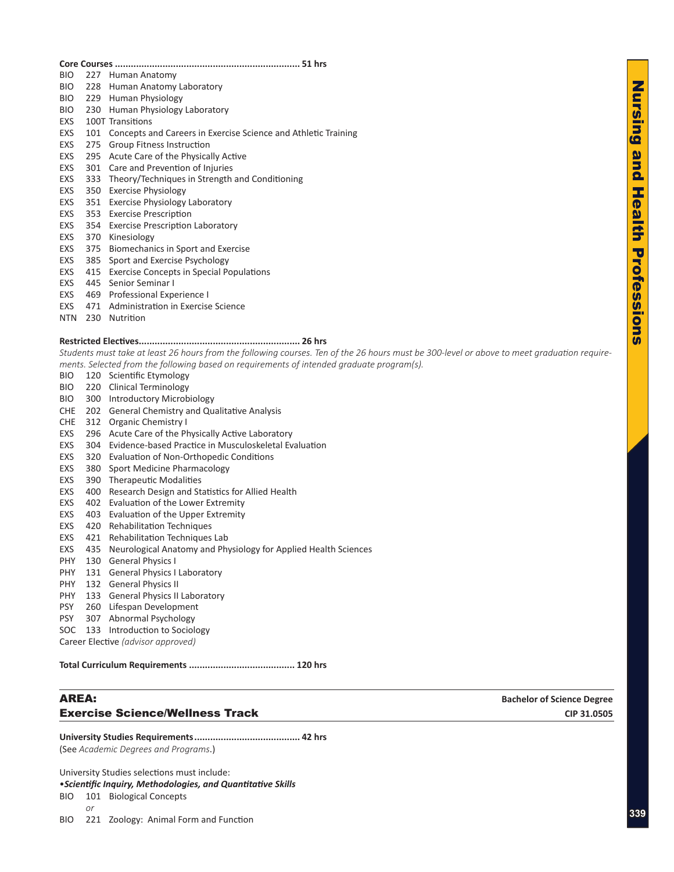### **Core Courses ...................................................................... 51 hrs** BIO 227 Human Anatomy BIO 228 Human Anatomy Laboratory BIO 229 Human Physiology BIO 230 Human Physiology Laboratory EXS 100T Transitions EXS 101 Concepts and Careers in Exercise Science and Athletic Training EXS 275 Group Fitness Instruction EXS 295 Acute Care of the Physically Active EXS 301 Care and Prevention of Injuries

- EXS 333 Theory/Techniques in Strength and Conditioning
- EXS 350 Exercise Physiology
- EXS 351 Exercise Physiology Laboratory
- EXS 353 Exercise Prescription
- EXS 354 Exercise Prescription Laboratory
- EXS 370 Kinesiology
- EXS 375 Biomechanics in Sport and Exercise
- EXS 385 Sport and Exercise Psychology
- EXS 415 Exercise Concepts in Special Populations
- EXS 445 Senior Seminar I
- EXS 469 Professional Experience I
- EXS 471 Administration in Exercise Science
- NTN 230 Nutrition

### **Restricted Electives............................................................. 26 hrs**

*Students must take at least 26 hours from the following courses. Ten of the 26 hours must be 300-level or above to meet graduation requirements. Selected from the following based on requirements of intended graduate program(s).* 

- BIO 120 Scientific Etymology
- BIO 220 Clinical Terminology
- BIO 300 Introductory Microbiology
- CHE 202 General Chemistry and Qualitative Analysis
- CHE 312 Organic Chemistry I
- EXS 296 Acute Care of the Physically Active Laboratory
- EXS 304 Evidence-based Practice in Musculoskeletal Evaluation
- EXS 320 Evaluation of Non-Orthopedic Conditions
- EXS 380 Sport Medicine Pharmacology
- EXS 390 Therapeutic Modalities
- EXS 400 Research Design and Statistics for Allied Health
- EXS 402 Evaluation of the Lower Extremity
- EXS 403 Evaluation of the Upper Extremity
- EXS 420 Rehabilitation Techniques
- EXS 421 Rehabilitation Techniques Lab
- EXS 435 Neurological Anatomy and Physiology for Applied Health Sciences
- PHY 130 General Physics I
- PHY 131 General Physics I Laboratory
- PHY 132 General Physics II
- PHY 133 General Physics II Laboratory
- PSY 260 Lifespan Development
- PSY 307 Abnormal Psychology
- SOC 133 Introduction to Sociology

Career Elective *(advisor approved)*

**Total Curriculum Requirements ........................................ 120 hrs**

### AREA: **Bachelor of Science Degree Exercise Science/Wellness Track**  CIP 31.0505

**University Studies Requirements........................................ 42 hrs**

(See *Academic Degrees and Programs*.)

University Studies selections must include:

### •*Scientific Inquiry, Methodologies, and Quantitative Skills*

BIO 101 Biological Concepts *or*

BIO 221 Zoology: Animal Form and Function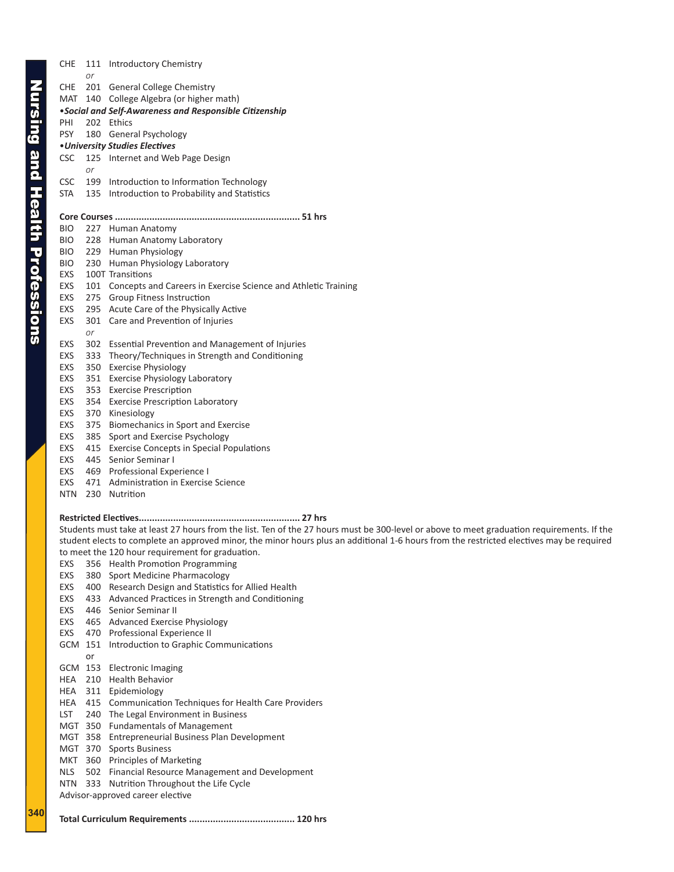CHE 111 Introductory Chemistry

**340**

|            | or |                                                                                                                                            |  |  |  |  |
|------------|----|--------------------------------------------------------------------------------------------------------------------------------------------|--|--|--|--|
|            |    | CHE 201 General College Chemistry                                                                                                          |  |  |  |  |
|            |    | MAT 140 College Algebra (or higher math)                                                                                                   |  |  |  |  |
|            |    | • Social and Self-Awareness and Responsible Citizenship                                                                                    |  |  |  |  |
| PHI        |    | 202 Ethics                                                                                                                                 |  |  |  |  |
|            |    |                                                                                                                                            |  |  |  |  |
| <b>PSY</b> |    | 180 General Psychology                                                                                                                     |  |  |  |  |
|            |    | • University Studies Electives                                                                                                             |  |  |  |  |
| <b>CSC</b> |    | 125 Internet and Web Page Design                                                                                                           |  |  |  |  |
|            | or |                                                                                                                                            |  |  |  |  |
| CSC        |    | 199 Introduction to Information Technology                                                                                                 |  |  |  |  |
| <b>STA</b> |    | 135 Introduction to Probability and Statistics                                                                                             |  |  |  |  |
|            |    |                                                                                                                                            |  |  |  |  |
|            |    |                                                                                                                                            |  |  |  |  |
| BIO.       |    | 227 Human Anatomy                                                                                                                          |  |  |  |  |
| <b>BIO</b> |    | 228 Human Anatomy Laboratory                                                                                                               |  |  |  |  |
| <b>BIO</b> |    | 229 Human Physiology                                                                                                                       |  |  |  |  |
| <b>BIO</b> |    | 230 Human Physiology Laboratory                                                                                                            |  |  |  |  |
|            |    | 100T Transitions                                                                                                                           |  |  |  |  |
| EXS        |    |                                                                                                                                            |  |  |  |  |
| EXS        |    | 101 Concepts and Careers in Exercise Science and Athletic Training                                                                         |  |  |  |  |
| EXS        |    | 275 Group Fitness Instruction                                                                                                              |  |  |  |  |
| EXS        |    | 295 Acute Care of the Physically Active                                                                                                    |  |  |  |  |
| EXS        |    | 301 Care and Prevention of Injuries                                                                                                        |  |  |  |  |
|            | or |                                                                                                                                            |  |  |  |  |
| EXS        |    | 302 Essential Prevention and Management of Injuries                                                                                        |  |  |  |  |
| EXS        |    | 333 Theory/Techniques in Strength and Conditioning                                                                                         |  |  |  |  |
| EXS        |    | 350 Exercise Physiology                                                                                                                    |  |  |  |  |
| EXS        |    | 351 Exercise Physiology Laboratory                                                                                                         |  |  |  |  |
| EXS        |    | 353 Exercise Prescription                                                                                                                  |  |  |  |  |
| EXS        |    | 354 Exercise Prescription Laboratory                                                                                                       |  |  |  |  |
| EXS        |    | 370 Kinesiology                                                                                                                            |  |  |  |  |
|            |    |                                                                                                                                            |  |  |  |  |
| EXS        |    | 375 Biomechanics in Sport and Exercise                                                                                                     |  |  |  |  |
| EXS        |    | 385 Sport and Exercise Psychology                                                                                                          |  |  |  |  |
| EXS        |    | 415 Exercise Concepts in Special Populations                                                                                               |  |  |  |  |
| EXS        |    | 445 Senior Seminar I                                                                                                                       |  |  |  |  |
| EXS        |    | 469 Professional Experience I                                                                                                              |  |  |  |  |
| EXS        |    | 471 Administration in Exercise Science                                                                                                     |  |  |  |  |
| <b>NTN</b> |    | 230 Nutrition                                                                                                                              |  |  |  |  |
|            |    |                                                                                                                                            |  |  |  |  |
|            |    |                                                                                                                                            |  |  |  |  |
|            |    | Students must take at least 27 hours from the list. Ten of the 27 hours must be 300-level or above to meet graduation requirements. If the |  |  |  |  |
|            |    | student elects to complete an approved minor, the minor hours plus an additional 1-6 hours from the restricted electives may be required   |  |  |  |  |
|            |    | to meet the 120 hour requirement for graduation.                                                                                           |  |  |  |  |
|            |    | EXS 356 Health Promotion Programming                                                                                                       |  |  |  |  |
| EXS        |    | 380 Sport Medicine Pharmacology                                                                                                            |  |  |  |  |
| EXS        |    | 400 Research Design and Statistics for Allied Health                                                                                       |  |  |  |  |
|            |    |                                                                                                                                            |  |  |  |  |
| EXS        |    | 433 Advanced Practices in Strength and Conditioning                                                                                        |  |  |  |  |
| EXS        |    | 446 Senior Seminar II                                                                                                                      |  |  |  |  |
| EXS        |    | 465 Advanced Exercise Physiology                                                                                                           |  |  |  |  |
| EXS        |    | 470 Professional Experience II                                                                                                             |  |  |  |  |
|            |    | GCM 151 Introduction to Graphic Communications                                                                                             |  |  |  |  |
|            | or |                                                                                                                                            |  |  |  |  |
|            |    | GCM 153 Electronic Imaging                                                                                                                 |  |  |  |  |
| HEA        |    | 210 Health Behavior                                                                                                                        |  |  |  |  |
| HEA        |    | 311 Epidemiology                                                                                                                           |  |  |  |  |
| HEA        |    | 415 Communication Techniques for Health Care Providers                                                                                     |  |  |  |  |
| LST        |    | 240 The Legal Environment in Business                                                                                                      |  |  |  |  |
|            |    | MGT 350 Fundamentals of Management                                                                                                         |  |  |  |  |
|            |    | MGT 358 Entrepreneurial Business Plan Development                                                                                          |  |  |  |  |
|            |    |                                                                                                                                            |  |  |  |  |
|            |    | MGT 370 Sports Business                                                                                                                    |  |  |  |  |
| MKT        |    | 360 Principles of Marketing                                                                                                                |  |  |  |  |
| <b>NLS</b> |    | 502 Financial Resource Management and Development                                                                                          |  |  |  |  |
| NTN        |    | 333 Nutrition Throughout the Life Cycle                                                                                                    |  |  |  |  |
|            |    | Advisor-approved career elective                                                                                                           |  |  |  |  |
|            |    |                                                                                                                                            |  |  |  |  |

**Total Curriculum Requirements ........................................ 120 hrs**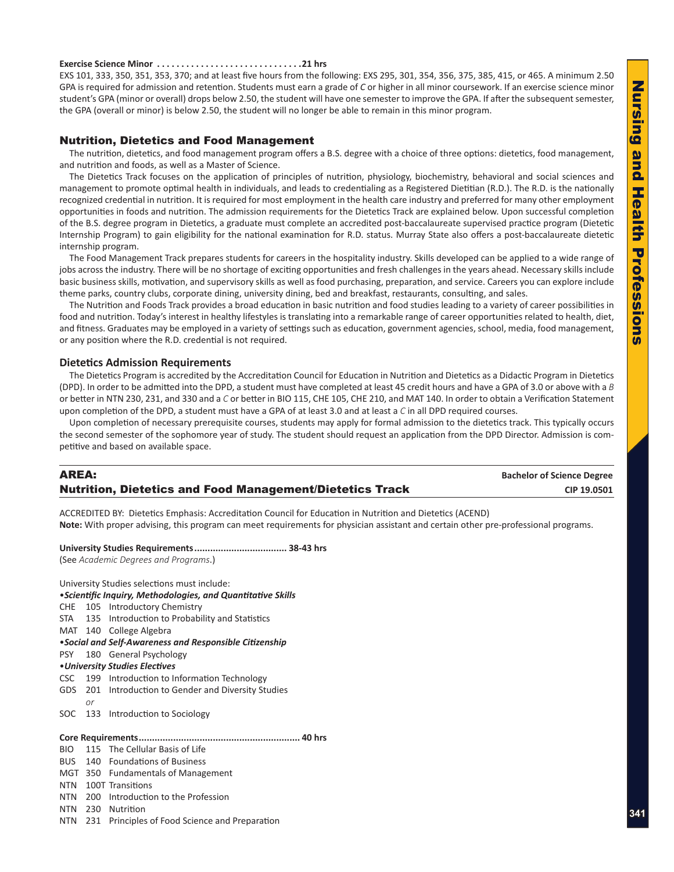### <span id="page-6-0"></span>**Exercise Science Minor. 21 hrs**

EXS 101, 333, 350, 351, 353, 370; and at least five hours from the following: EXS 295, 301, 354, 356, 375, 385, 415, or 465. A minimum 2.50 GPA is required for admission and retention. Students must earn a grade of *C* or higher in all minor coursework. If an exercise science minor student's GPA (minor or overall) drops below 2.50, the student will have one semester to improve the GPA. If after the subsequent semester, the GPA (overall or minor) is below 2.50, the student will no longer be able to remain in this minor program.

### Nutrition, Dietetics and Food Management

The nutrition, dietetics, and food management program offers a B.S. degree with a choice of three options: dietetics, food management, and nutrition and foods, as well as a Master of Science.

The Dietetics Track focuses on the application of principles of nutrition, physiology, biochemistry, behavioral and social sciences and management to promote optimal health in individuals, and leads to credentialing as a Registered Dietitian (R.D.). The R.D. is the nationally recognized credential in nutrition. It is required for most employment in the health care industry and preferred for many other employment opportunities in foods and nutrition. The admission requirements for the Dietetics Track are explained below. Upon successful completion of the B.S. degree program in Dietetics, a graduate must complete an accredited post-baccalaureate supervised practice program (Dietetic Internship Program) to gain eligibility for the national examination for R.D. status. Murray State also offers a post-baccalaureate dietetic internship program.

The Food Management Track prepares students for careers in the hospitality industry. Skills developed can be applied to a wide range of jobs across the industry. There will be no shortage of exciting opportunities and fresh challenges in the years ahead. Necessary skills include basic business skills, motivation, and supervisory skills as well as food purchasing, preparation, and service. Careers you can explore include theme parks, country clubs, corporate dining, university dining, bed and breakfast, restaurants, consulting, and sales.

The Nutrition and Foods Track provides a broad education in basic nutrition and food studies leading to a variety of career possibilities in food and nutrition. Today's interest in healthy lifestyles is translating into a remarkable range of career opportunities related to health, diet, and fitness. Graduates may be employed in a variety of settings such as education, government agencies, school, media, food management, or any position where the R.D. credential is not required.

### **Dietetics Admission Requirements**

The Dietetics Program is accredited by the Accreditation Council for Education in Nutrition and Dietetics as a Didactic Program in Dietetics (DPD). In order to be admitted into the DPD, a student must have completed at least 45 credit hours and have a GPA of 3.0 or above with a *B* or better in NTN 230, 231, and 330 and a *C* or better in BIO 115, CHE 105, CHE 210, and MAT 140. In order to obtain a Verification Statement upon completion of the DPD, a student must have a GPA of at least 3.0 and at least a *C* in all DPD required courses.

Upon completion of necessary prerequisite courses, students may apply for formal admission to the dietetics track. This typically occurs the second semester of the sophomore year of study. The student should request an application from the DPD Director. Admission is competitive and based on available space.

| <b>AREA:</b>                                                    | <b>Bachelor of Science Degree</b> |
|-----------------------------------------------------------------|-----------------------------------|
| <b>Nutrition, Dietetics and Food Management/Dietetics Track</b> | CIP 19.0501                       |

ACCREDITED BY: Dietetics Emphasis: Accreditation Council for Education in Nutrition and Dietetics (ACEND) **Note:** With proper advising, this program can meet requirements for physician assistant and certain other pre-professional programs.

**University Studies Requirements................................... 38-43 hrs**

(See *Academic Degrees and Programs*.)

|            |    | University Studies selections must include:                  |
|------------|----|--------------------------------------------------------------|
|            |    | • Scientific Inquiry, Methodologies, and Quantitative Skills |
|            |    | CHE 105 Introductory Chemistry                               |
|            |    | STA 135 Introduction to Probability and Statistics           |
|            |    | MAT 140 College Algebra                                      |
|            |    | • Social and Self-Awareness and Responsible Citizenship      |
|            |    | PSY 180 General Psychology                                   |
|            |    | • University Studies Electives                               |
|            |    | CSC 199 Introduction to Information Technology               |
|            |    | GDS 201 Introduction to Gender and Diversity Studies         |
|            | or |                                                              |
|            |    | SOC 133 Introduction to Sociology                            |
|            |    |                                                              |
|            |    |                                                              |
| <b>BIO</b> |    | 115 The Cellular Basis of Life                               |
|            |    | <b>BUS</b> 140 Foundations of Business                       |
|            |    | MGT 350 Fundamentals of Management                           |
|            |    | NTN 100T Transitions                                         |
|            |    | NTN 200 Introduction to the Profession                       |
|            |    | NTN 230 Nutrition                                            |

NTN 231 Principles of Food Science and Preparation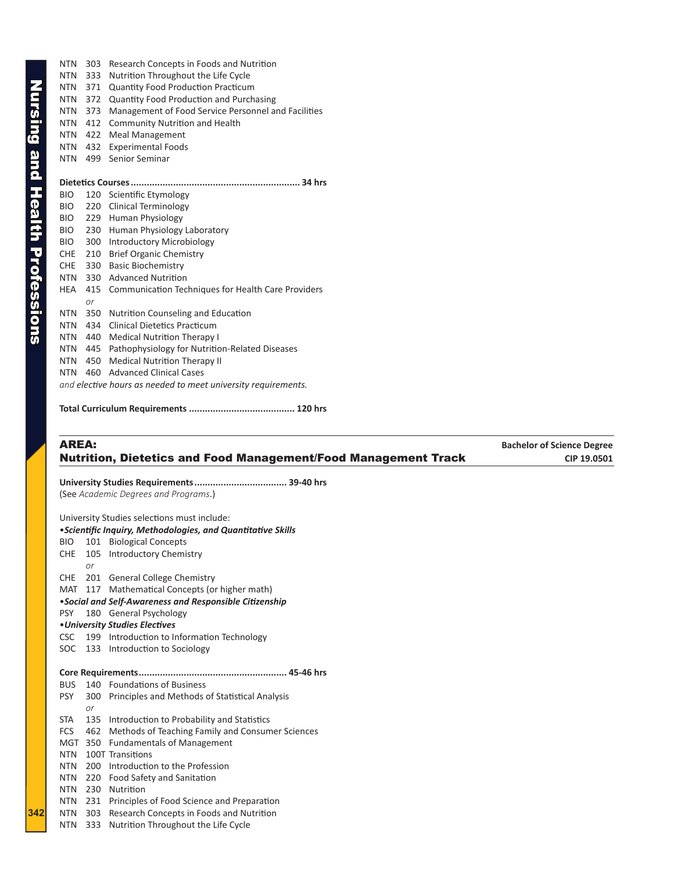| <b>NTN</b> | 303 | Research Concepts in Foods and Nutrition                      |
|------------|-----|---------------------------------------------------------------|
| <b>NTN</b> | 333 | Nutrition Throughout the Life Cycle                           |
| <b>NTN</b> | 371 | <b>Quantity Food Production Practicum</b>                     |
| NTN        | 372 | <b>Quantity Food Production and Purchasing</b>                |
| <b>NTN</b> | 373 | Management of Food Service Personnel and Facilities           |
| <b>NTN</b> | 412 | <b>Community Nutrition and Health</b>                         |
| NTN        | 422 | <b>Meal Management</b>                                        |
| <b>NTN</b> | 432 | <b>Experimental Foods</b>                                     |
| <b>NTN</b> | 499 | Senior Seminar                                                |
|            |     |                                                               |
|            |     |                                                               |
| <b>BIO</b> | 120 | Scientific Etymology                                          |
| <b>BIO</b> | 220 | Clinical Terminology                                          |
| <b>BIO</b> | 229 | Human Physiology                                              |
| <b>BIO</b> | 230 | Human Physiology Laboratory                                   |
| <b>BIO</b> | 300 | Introductory Microbiology                                     |
| <b>CHE</b> | 210 | <b>Brief Organic Chemistry</b>                                |
| <b>CHE</b> | 330 | <b>Basic Biochemistry</b>                                     |
| <b>NTN</b> | 330 | <b>Advanced Nutrition</b>                                     |
| HEA        | 415 | Communication Techniques for Health Care Providers            |
|            | or  |                                                               |
| <b>NTN</b> | 350 | Nutrition Counseling and Education                            |
| <b>NTN</b> | 434 | <b>Clinical Dietetics Practicum</b>                           |
| <b>NTN</b> | 440 | <b>Medical Nutrition Therapy I</b>                            |
| <b>NTN</b> | 445 | Pathophysiology for Nutrition-Related Diseases                |
| <b>NTN</b> | 450 | <b>Medical Nutrition Therapy II</b>                           |
| <b>NTN</b> | 460 | <b>Advanced Clinical Cases</b>                                |
|            |     | and elective hours as needed to meet university requirements. |

**Total Curriculum Requirements ........................................ 120 hrs**

### **AREA: Bachelor of Science Degree** Nutrition, Dietetics and Food Management/Food Management Track **CIP 19.0501**

**University Studies Requirements................................... 39-40 hrs**

(See *Academic Degrees and Programs*.)

|            |            | University Studies selections must include:                                            |
|------------|------------|----------------------------------------------------------------------------------------|
|            |            | · Scientific Inquiry, Methodologies, and Quantitative Skills                           |
| BIO DI     |            | 101 Biological Concepts                                                                |
| CHE        |            | 105 Introductory Chemistry                                                             |
|            | or         |                                                                                        |
| CHE        |            | 201 General College Chemistry                                                          |
| MAT        | 117        | Mathematical Concepts (or higher math)                                                 |
|            |            | • Social and Self-Awareness and Responsible Citizenship                                |
| <b>PSY</b> |            | 180 General Psychology                                                                 |
|            |            | • University Studies Electives                                                         |
|            |            | CSC 199 Introduction to Information Technology                                         |
|            |            | SOC 133 Introduction to Sociology                                                      |
|            |            |                                                                                        |
|            |            |                                                                                        |
|            |            |                                                                                        |
| BUS        |            | 140 Foundations of Business                                                            |
| <b>PSY</b> |            | 300 Principles and Methods of Statistical Analysis                                     |
|            | or         |                                                                                        |
| STA        | 135        | Introduction to Probability and Statistics                                             |
| FCS        | 462        | Methods of Teaching Family and Consumer Sciences                                       |
|            | MGT 350    | <b>Fundamentals of Management</b>                                                      |
| <b>NTN</b> |            | 100T Transitions                                                                       |
| NTN        |            | 200 Introduction to the Profession                                                     |
| NTN        | 220        | Food Safety and Sanitation                                                             |
| NTN        | 230        | Nutrition                                                                              |
| NTN<br>NTN | 231<br>303 | Principles of Food Science and Preparation<br>Research Concepts in Foods and Nutrition |

NTN 333 Nutrition Throughout the Life Cycle

**342**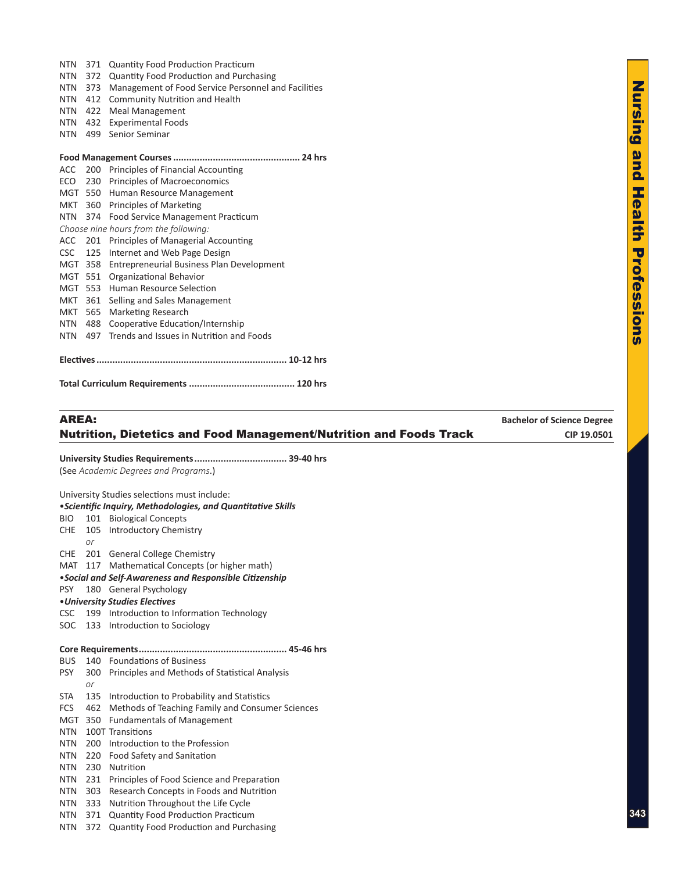| <b>NTN</b> | 373 | Management of Food Service Personnel and Facilities |
|------------|-----|-----------------------------------------------------|
| <b>NTN</b> | 412 | <b>Community Nutrition and Health</b>               |
| <b>NTN</b> | 422 | <b>Meal Management</b>                              |
| <b>NTN</b> | 432 | <b>Experimental Foods</b>                           |
| <b>NTN</b> | 499 | Senior Seminar                                      |
|            |     |                                                     |
|            |     |                                                     |
|            |     | ACC 200 Principles of Financial Accounting          |
|            |     | ECO 230 Principles of Macroeconomics                |
|            |     | MGT 550 Human Resource Management                   |
|            |     | MKT 360 Principles of Marketing                     |
| NTN        | 374 | Food Service Management Practicum                   |
|            |     | Choose nine hours from the following:               |
| ACC 201    |     | Principles of Managerial Accounting                 |
| <b>CSC</b> | 125 | Internet and Web Page Design                        |
| MGT        | 358 | Entrepreneurial Business Plan Development           |
| MGT        | 551 | Organizational Behavior                             |
| MGT        | 553 | Human Resource Selection                            |
| <b>MKT</b> | 361 | Selling and Sales Management                        |
| MKT        | 565 | Marketing Research                                  |
| <b>NTN</b> | 488 | Cooperative Education/Internship                    |
| <b>NTN</b> | 497 | Trends and Issues in Nutrition and Foods            |
|            |     |                                                     |
|            |     |                                                     |

NTN 371 Quantity Food Production Practicum NTN 372 Quantity Food Production and Purchasing

**Total Curriculum Requirements ........................................ 120 hrs**

# AREA: **Bachelor of Science Degree** Nutrition, Dietetics and Food Management/Nutrition and Foods Track **CIP 19.0501**

**University Studies Requirements................................... 39-40 hrs** (See *Academic Degrees and Programs*.) University Studies selections must include: •*Scientific Inquiry, Methodologies, and Quantitative Skills* BIO 101 Biological Concepts CHE 105 Introductory Chemistry *or* CHE 201 General College Chemistry MAT 117 Mathematical Concepts (or higher math) •*Social and Self-Awareness and Responsible Citizenship* PSY 180 General Psychology •*University Studies Electives* CSC 199 Introduction to Information Technology SOC 133 Introduction to Sociology **Core Requirements........................................................ 45-46 hrs** BUS 140 Foundations of Business PSY 300 Principles and Methods of Statistical Analysis *or* STA 135 Introduction to Probability and Statistics FCS 462 Methods of Teaching Family and Consumer Sciences MGT 350 Fundamentals of Management NTN 100T Transitions NTN 200 Introduction to the Profession NTN 220 Food Safety and Sanitation NTN 230 Nutrition NTN 231 Principles of Food Science and Preparation NTN 303 Research Concepts in Foods and Nutrition NTN 333 Nutrition Throughout the Life Cycle NTN 371 Quantity Food Production Practicum NTN 372 Quantity Food Production and Purchasing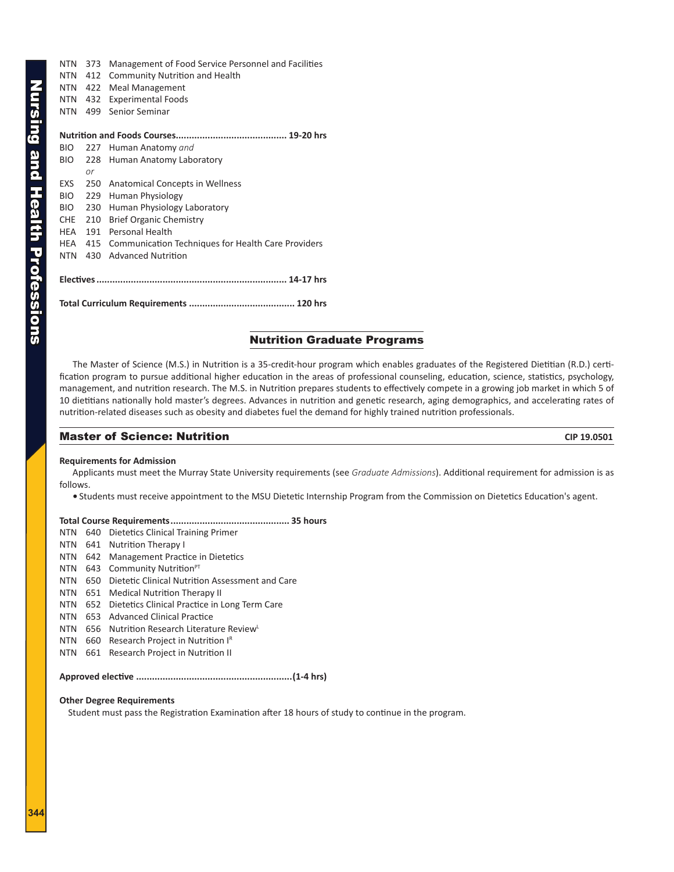<span id="page-9-0"></span>NTN 373 Management of Food Service Personnel and Facilities NTN 412 Community Nutrition and Health NTN 422 Meal Management NTN 432 Experimental Foods NTN 499 Senior Seminar **Nutrition and Foods Courses.......................................... 19-20 hrs** BIO 227 Human Anatomy *and* BIO 228 Human Anatomy Laboratory *or* EXS 250 Anatomical Concepts in Wellness BIO 229 Human Physiology BIO 230 Human Physiology Laboratory CHE 210 Brief Organic Chemistry HEA 191 Personal Health HEA 415 Communication Techniques for Health Care Providers NTN 430 Advanced Nutrition **Electives........................................................................ 14-17 hrs Total Curriculum Requirements ........................................ 120 hrs**

### Nutrition Graduate Programs

The Master of Science (M.S.) in Nutrition is a 35-credit-hour program which enables graduates of the Registered Dietitian (R.D.) certification program to pursue additional higher education in the areas of professional counseling, education, science, statistics, psychology, management, and nutrition research. The M.S. in Nutrition prepares students to effectively compete in a growing job market in which 5 of 10 dietitians nationally hold master's degrees. Advances in nutrition and genetic research, aging demographics, and accelerating rates of nutrition-related diseases such as obesity and diabetes fuel the demand for highly trained nutrition professionals.

### **Master of Science: Nutrition**  CIP 19.0501

### **Requirements for Admission**

Applicants must meet the Murray State University requirements (see *Graduate Admissions*). Additional requirement for admission is as follows.

**•** Students must receive appointment to the MSU Dietetic Internship Program from the Commission on Dietetics Education's agent.

### **Total Course Requirements............................................. 35 hours**

|  | NTN 640 Dietetics Clinical Training Primer |
|--|--------------------------------------------|
|  | NTN 641 Nutrition Therapy I                |

- NTN 642 Management Practice in Dietetics
- NTN 643 Community Nutrition<sup>PT</sup>
- NTN 650 Dietetic Clinical Nutrition Assessment and Care
- NTN 651 Medical Nutrition Therapy II
- NTN 652 Dietetics Clinical Practice in Long Term Care
- NTN 653 Advanced Clinical Practice
- NTN 656 Nutrition Research Literature Review
- NTN 660 Research Project in Nutrition IR
- NTN 661 Research Project in Nutrition II

**Approved elective ...........................................................(1-4 hrs)**

### **Other Degree Requirements**

Student must pass the Registration Examination after 18 hours of study to continue in the program.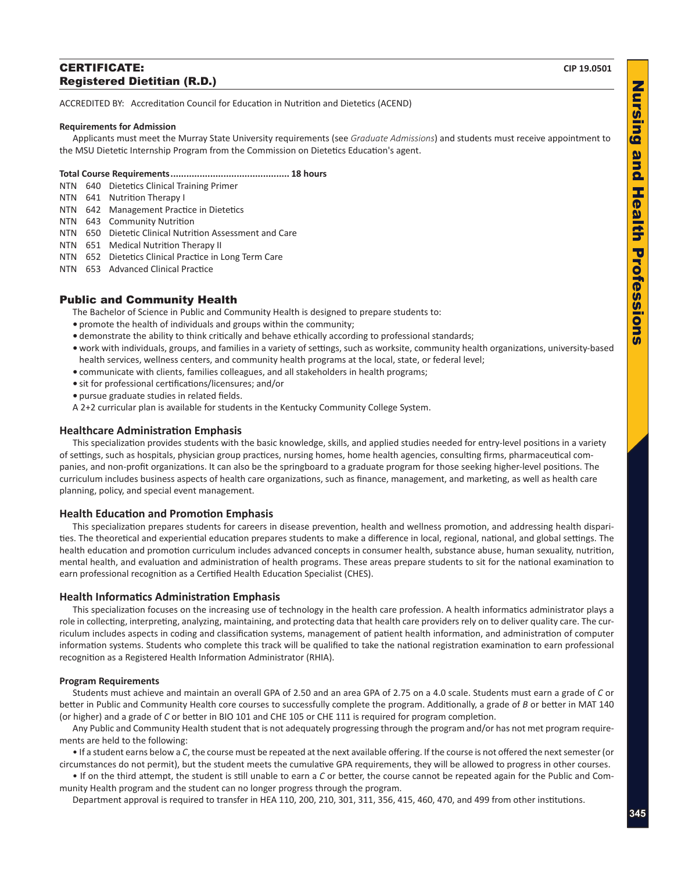### <span id="page-10-0"></span>**CERTIFICATE:** CIP 19.0501 Registered Dietitian (R.D.)

ACCREDITED BY: Accreditation Council for Education in Nutrition and Dietetics (ACEND)

### **Requirements for Admission**

Applicants must meet the Murray State University requirements (see *Graduate Admissions*) and students must receive appointment to the MSU Dietetic Internship Program from the Commission on Dietetics Education's agent.

### **Total Course Requirements............................................. 18 hours**

- NTN 640 Dietetics Clinical Training Primer
- NTN 641 Nutrition Therapy I
- NTN 642 Management Practice in Dietetics
- NTN 643 Community Nutrition
- NTN 650 Dietetic Clinical Nutrition Assessment and Care
- NTN 651 Medical Nutrition Therapy II
- NTN 652 Dietetics Clinical Practice in Long Term Care
- NTN 653 Advanced Clinical Practice

### Public and Community Health

The Bachelor of Science in Public and Community Health is designed to prepare students to:

- **•** promote the health of individuals and groups within the community;
- **•** demonstrate the ability to think critically and behave ethically according to professional standards;
- **•** work with individuals, groups, and families in a variety of settings, such as worksite, community health organizations, university-based health services, wellness centers, and community health programs at the local, state, or federal level;
- **•** communicate with clients, families colleagues, and all stakeholders in health programs;
- **•** sit for professional certifications/licensures; and/or
- **•** pursue graduate studies in related fields.
- A 2+2 curricular plan is available for students in the Kentucky Community College System.

### **Healthcare Administration Emphasis**

This specialization provides students with the basic knowledge, skills, and applied studies needed for entry-level positions in a variety of settings, such as hospitals, physician group practices, nursing homes, home health agencies, consulting firms, pharmaceutical companies, and non-profit organizations. It can also be the springboard to a graduate program for those seeking higher-level positions. The curriculum includes business aspects of health care organizations, such as finance, management, and marketing, as well as health care planning, policy, and special event management.

### **Health Education and Promotion Emphasis**

This specialization prepares students for careers in disease prevention, health and wellness promotion, and addressing health disparities. The theoretical and experiential education prepares students to make a difference in local, regional, national, and global settings. The health education and promotion curriculum includes advanced concepts in consumer health, substance abuse, human sexuality, nutrition, mental health, and evaluation and administration of health programs. These areas prepare students to sit for the national examination to earn professional recognition as a Certified Health Education Specialist (CHES).

### **Health Informatics Administration Emphasis**

This specialization focuses on the increasing use of technology in the health care profession. A health informatics administrator plays a role in collecting, interpreting, analyzing, maintaining, and protecting data that health care providers rely on to deliver quality care. The curriculum includes aspects in coding and classification systems, management of patient health information, and administration of computer information systems. Students who complete this track will be qualified to take the national registration examination to earn professional recognition as a Registered Health Information Administrator (RHIA).

### **Program Requirements**

Students must achieve and maintain an overall GPA of 2.50 and an area GPA of 2.75 on a 4.0 scale. Students must earn a grade of *C* or better in Public and Community Health core courses to successfully complete the program. Additionally, a grade of *B* or better in MAT 140 (or higher) and a grade of *C* or better in BIO 101 and CHE 105 or CHE 111 is required for program completion.

Any Public and Community Health student that is not adequately progressing through the program and/or has not met program requirements are held to the following:

• If a student earns below a *C*, the course must be repeated at the next available offering. If the course is not offered the next semester (or circumstances do not permit), but the student meets the cumulative GPA requirements, they will be allowed to progress in other courses.

• If on the third attempt, the student is still unable to earn a *C* or better, the course cannot be repeated again for the Public and Community Health program and the student can no longer progress through the program.

Department approval is required to transfer in HEA 110, 200, 210, 301, 311, 356, 415, 460, 470, and 499 from other institutions.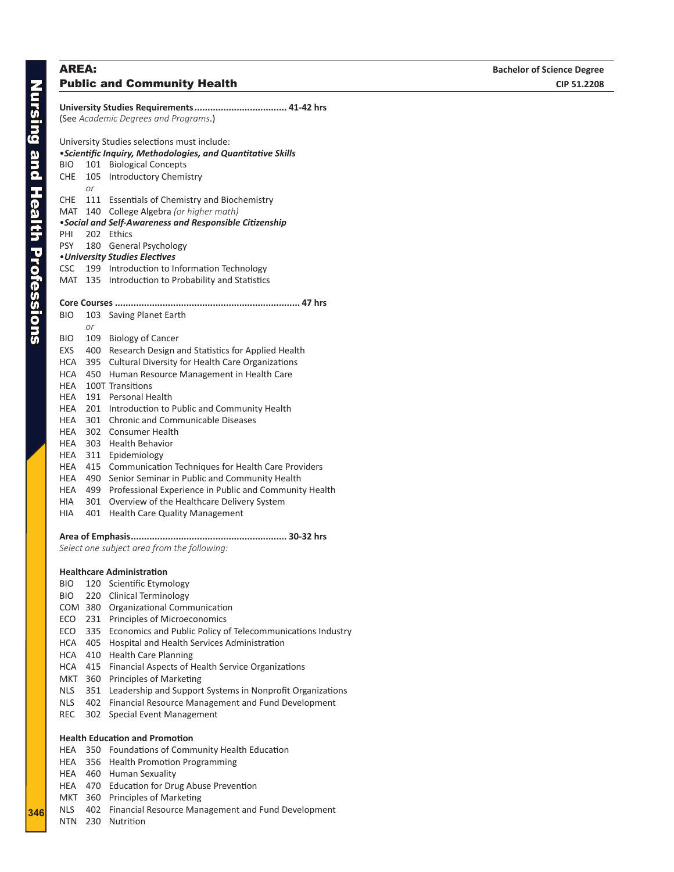# **Nursing and Health Professions** Nursing and Health Professions

# <span id="page-11-0"></span> *or*

|                                      |            | University Studies Requirements 41-42 hrs                    |  |
|--------------------------------------|------------|--------------------------------------------------------------|--|
| (See Academic Degrees and Programs.) |            |                                                              |  |
|                                      |            |                                                              |  |
|                                      |            | University Studies selections must include:                  |  |
|                                      |            | · Scientific Inquiry, Methodologies, and Quantitative Skills |  |
| BIO                                  | 101        | <b>Biological Concepts</b>                                   |  |
| <b>CHE</b>                           | 105        | <b>Introductory Chemistry</b>                                |  |
|                                      | or         |                                                              |  |
| <b>CHE</b>                           |            | 111 Essentials of Chemistry and Biochemistry                 |  |
| MAT                                  | 140        | College Algebra (or higher math)                             |  |
|                                      |            | • Social and Self-Awareness and Responsible Citizenship      |  |
| PHI                                  | 202        | Ethics                                                       |  |
| <b>PSY</b>                           | 180        | General Psychology                                           |  |
| <b>CSC</b>                           |            | • University Studies Electives                               |  |
| MAT                                  | 199<br>135 | Introduction to Information Technology                       |  |
|                                      |            | Introduction to Probability and Statistics                   |  |
|                                      |            | Core Courses                                                 |  |
| <b>BIO</b>                           | 103        | Saving Planet Earth                                          |  |
|                                      | or         |                                                              |  |
| <b>BIO</b>                           | 109        | <b>Biology of Cancer</b>                                     |  |
| EXS                                  | 400        | Research Design and Statistics for Applied Health            |  |
| <b>HCA</b>                           | 395        | <b>Cultural Diversity for Health Care Organizations</b>      |  |
| <b>HCA</b>                           | 450        | Human Resource Management in Health Care                     |  |
| HEA                                  |            | 100T Transitions                                             |  |
| HEA                                  | 191        | Personal Health                                              |  |
| HEA                                  | 201        | Introduction to Public and Community Health                  |  |
| HEA                                  | 301        | <b>Chronic and Communicable Diseases</b>                     |  |
| HEA                                  | 302        | <b>Consumer Health</b>                                       |  |
| HEA                                  | 303        | <b>Health Behavior</b>                                       |  |
| HEA                                  | 311        | Epidemiology                                                 |  |
| HEA                                  | 415        | Communication Techniques for Health Care Providers           |  |
| HEA                                  | 490        | Senior Seminar in Public and Community Health                |  |
| HEA                                  | 499        | Professional Experience in Public and Community Health       |  |
| HIA                                  | 301        | Overview of the Healthcare Delivery System                   |  |

- HIA 401 Health Care Quality Management
- **Area of Emphasis........................................................... 30-32 hrs**

*Select one subject area from the following:* 

### **Healthcare Administration**

- BIO 120 Scientific Etymology
- BIO 220 Clinical Terminology
- COM 380 Organizational Communication
- ECO 231 Principles of Microeconomics
- ECO 335 Economics and Public Policy of Telecommunications Industry
- HCA 405 Hospital and Health Services Administration
- HCA 410 Health Care Planning
- HCA 415 Financial Aspects of Health Service Organizations
- MKT 360 Principles of Marketing
- NLS 351 Leadership and Support Systems in Nonprofit Organizations
- NLS 402 Financial Resource Management and Fund Development
- REC 302 Special Event Management

### **Health Education and Promotion**

- HEA 350 Foundations of Community Health Education
- HEA 356 Health Promotion Programming
- HEA 460 Human Sexuality
- HEA 470 Education for Drug Abuse Prevention
- MKT 360 Principles of Marketing
- NLS 402 Financial Resource Management and Fund Development
- NTN 230 Nutrition

**34 6**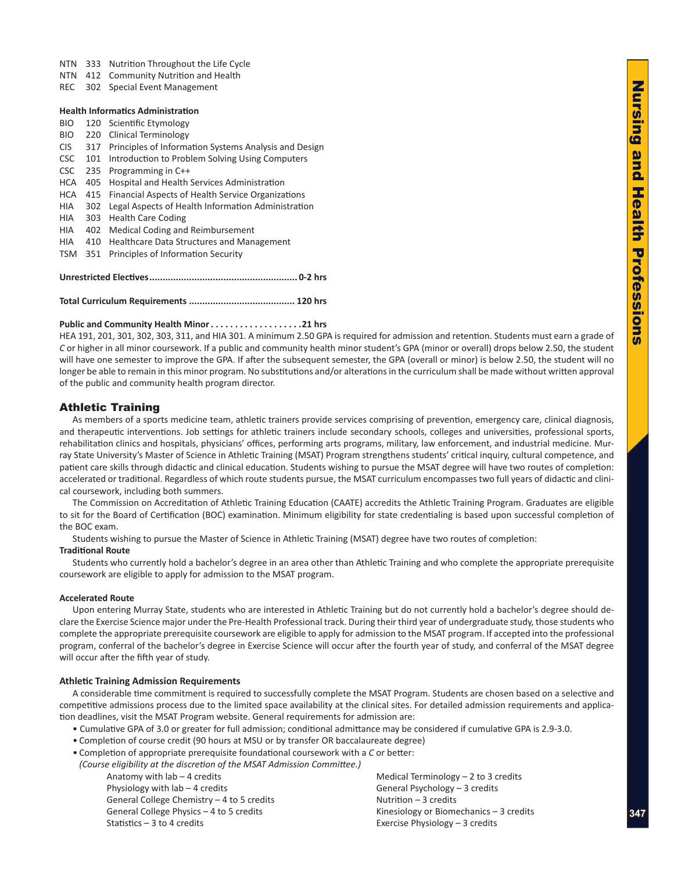- <span id="page-12-0"></span>NTN 412 Community Nutrition and Health
- REC 302 Special Event Management

### **Health Informatics Administration**

- BIO 120 Scientific Etymology
- BIO 220 Clinical Terminology
- CIS 317 Principles of Information Systems Analysis and Design
- CSC 101 Introduction to Problem Solving Using Computers
- CSC 235 Programming in C++
- HCA 405 Hospital and Health Services Administration
- HCA 415 Financial Aspects of Health Service Organizations
- HIA 302 Legal Aspects of Health Information Administration
- HIA 303 Health Care Coding
- HIA 402 Medical Coding and Reimbursement
- HIA 410 Healthcare Data Structures and Management
- TSM 351 Principles of Information Security

**Unrestricted Electives........................................................ 0-2 hrs**

**Total Curriculum Requirements ........................................ 120 hrs**

### **Public and Community Health Minor. 21 hrs**

HEA 191, 201, 301, 302, 303, 311, and HIA 301. A minimum 2.50 GPA is required for admission and retention. Students must earn a grade of *C* or higher in all minor coursework. If a public and community health minor student's GPA (minor or overall) drops below 2.50, the student will have one semester to improve the GPA. If after the subsequent semester, the GPA (overall or minor) is below 2.50, the student will no longer be able to remain in this minor program. No substitutions and/or alterations in the curriculum shall be made without written approval of the public and community health program director.

### Athletic Training

As members of a sports medicine team, athletic trainers provide services comprising of prevention, emergency care, clinical diagnosis, and therapeutic interventions. Job settings for athletic trainers include secondary schools, colleges and universities, professional sports, rehabilitation clinics and hospitals, physicians' offices, performing arts programs, military, law enforcement, and industrial medicine. Murray State University's Master of Science in Athletic Training (MSAT) Program strengthens students' critical inquiry, cultural competence, and patient care skills through didactic and clinical education. Students wishing to pursue the MSAT degree will have two routes of completion: accelerated or traditional. Regardless of which route students pursue, the MSAT curriculum encompasses two full years of didactic and clinical coursework, including both summers.

The Commission on Accreditation of Athletic Training Education (CAATE) accredits the Athletic Training Program. Graduates are eligible to sit for the Board of Certification (BOC) examination. Minimum eligibility for state credentialing is based upon successful completion of the BOC exam.

Students wishing to pursue the Master of Science in Athletic Training (MSAT) degree have two routes of completion:

### **Traditional Route**

Students who currently hold a bachelor's degree in an area other than Athletic Training and who complete the appropriate prerequisite coursework are eligible to apply for admission to the MSAT program.

### **Accelerated Route**

Upon entering Murray State, students who are interested in Athletic Training but do not currently hold a bachelor's degree should declare the Exercise Science major under the Pre-Health Professional track. During their third year of undergraduate study, those students who complete the appropriate prerequisite coursework are eligible to apply for admission to the MSAT program. If accepted into the professional program, conferral of the bachelor's degree in Exercise Science will occur after the fourth year of study, and conferral of the MSAT degree will occur after the fifth year of study.

### **Athletic Training Admission Requirements**

A considerable time commitment is required to successfully complete the MSAT Program. Students are chosen based on a selective and competitive admissions process due to the limited space availability at the clinical sites. For detailed admission requirements and application deadlines, visit the MSAT Program website. General requirements for admission are:

- Cumulative GPA of 3.0 or greater for full admission; conditional admittance may be considered if cumulative GPA is 2.9-3.0.
- Completion of course credit (90 hours at MSU or by transfer OR baccalaureate degree)
- Completion of appropriate prerequisite foundational coursework with a *C* or better:
- *(Course eligibility at the discretion of the MSAT Admission Committee.)*

Physiology with lab – 4 credits General Psychology – 3 credits General College Chemistry  $-4$  to 5 credits  $N$  Nutrition  $-3$  credits General College Physics – 4 to 5 credits Kinesiology or Biomechanics – 3 credits Statistics – 3 to 4 credits Exercise Physiology – 3 credits

Anatomy with lab – 4 credits Medical Terminology – 2 to 3 credits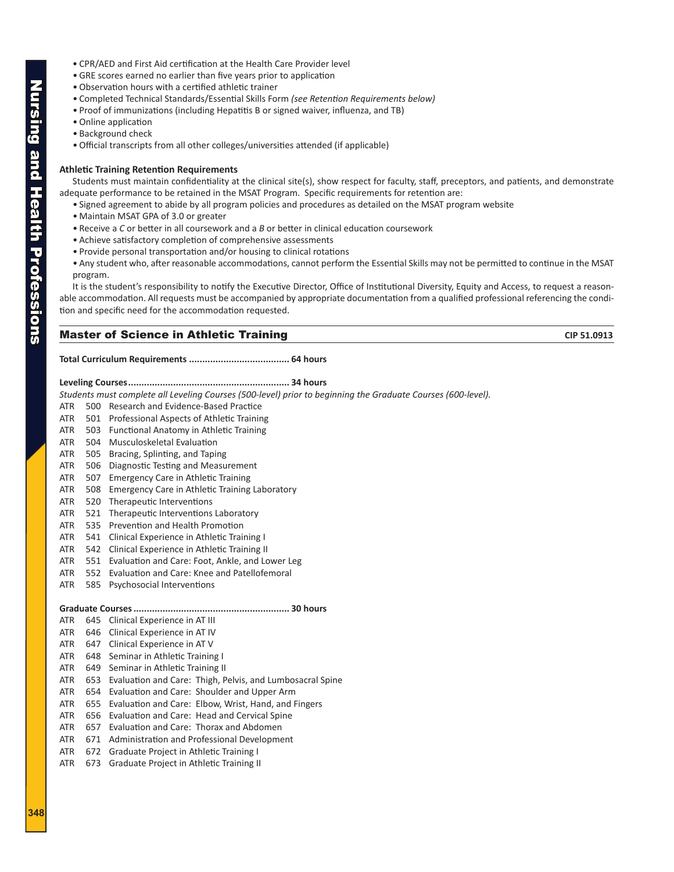- CPR/AED and First Aid certification at the Health Care Provider level
- GRE scores earned no earlier than five years prior to application
- Observation hours with a certified athletic trainer
- Completed Technical Standards/Essential Skills Form *(see Retention Requirements below)*
- Proof of immunizations (including Hepatitis B or signed waiver, influenza, and TB)
- Online application
- Background check
- Official transcripts from all other colleges/universities attended (if applicable)

### **Athletic Training Retention Requirements**

Students must maintain confidentiality at the clinical site(s), show respect for faculty, staff, preceptors, and patients, and demonstrate adequate performance to be retained in the MSAT Program. Specific requirements for retention are:

- Signed agreement to abide by all program policies and procedures as detailed on the MSAT program website
- Maintain MSAT GPA of 3.0 or greater
- Receive a *C* or better in all coursework and a *B* or better in clinical education coursework
- Achieve satisfactory completion of comprehensive assessments
- Provide personal transportation and/or housing to clinical rotations
- Any student who, after reasonable accommodations, cannot perform the Essential Skills may not be permitted to continue in the MSAT program.

It is the student's responsibility to notify the Executive Director, Office of Institutional Diversity, Equity and Access, to request a reasonable accommodation. All requests must be accompanied by appropriate documentation from a qualified professional referencing the condition and specific need for the accommodation requested.

### **Master of Science in Athletic Training**  CIP 51.0913

### **Total Curriculum Requirements ...................................... 64 hours**

### **Leveling Courses............................................................. 34 hours**

*Students must complete all Leveling Courses (500-level) prior to beginning the Graduate Courses (600-level).*

- ATR 500 Research and Evidence-Based Practice
- ATR 501 Professional Aspects of Athletic Training
- ATR 503 Functional Anatomy in Athletic Training
- ATR 504 Musculoskeletal Evaluation
- ATR 505 Bracing, Splinting, and Taping
- ATR 506 Diagnostic Testing and Measurement
- ATR 507 Emergency Care in Athletic Training
- ATR 508 Emergency Care in Athletic Training Laboratory
- ATR 520 Therapeutic Interventions
- ATR 521 Therapeutic Interventions Laboratory
- ATR 535 Prevention and Health Promotion
- ATR 541 Clinical Experience in Athletic Training I
- ATR 542 Clinical Experience in Athletic Training II
- ATR 551 Evaluation and Care: Foot, Ankle, and Lower Leg
- ATR 552 Evaluation and Care: Knee and Patellofemoral
- ATR 585 Psychosocial Interventions

### **Graduate Courses........................................................... 30 hours**

- ATR 645 Clinical Experience in AT III
- ATR 646 Clinical Experience in AT IV
- ATR 647 Clinical Experience in AT V
- ATR 648 Seminar in Athletic Training I
- ATR 649 Seminar in Athletic Training II
- ATR 653 Evaluation and Care: Thigh, Pelvis, and Lumbosacral Spine
- ATR 654 Evaluation and Care: Shoulder and Upper Arm
- ATR 655 Evaluation and Care: Elbow, Wrist, Hand, and Fingers
- ATR 656 Evaluation and Care: Head and Cervical Spine
- ATR 657 Evaluation and Care: Thorax and Abdomen
- ATR 671 Administration and Professional Development
- ATR 672 Graduate Project in Athletic Training I
- ATR 673 Graduate Project in Athletic Training II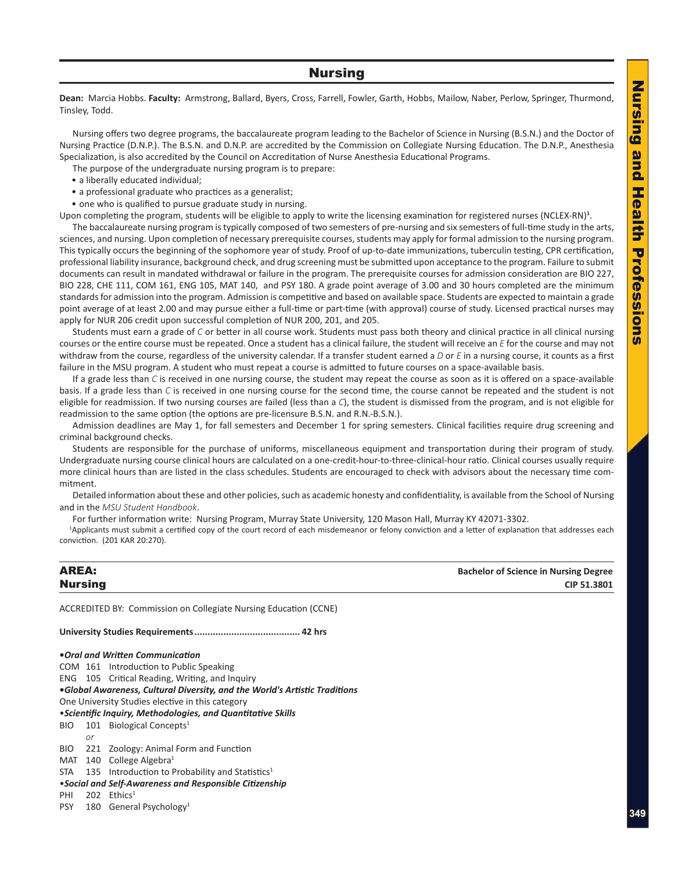### Nursing

<span id="page-14-0"></span>**Dean:** Marcia Hobbs. **Faculty:** Armstrong, Ballard, Byers, Cross, Farrell, Fowler, Garth, Hobbs, Mailow, Naber, Perlow, Springer, Thurmond, Tinsley, Todd.

Nursing offers two degree programs, the baccalaureate program leading to the Bachelor of Science in Nursing (B.S.N.) and the Doctor of Nursing Practice (D.N.P.). The B.S.N. and D.N.P. are accredited by the Commission on Collegiate Nursing Education. The D.N.P., Anesthesia Specialization, is also accredited by the Council on Accreditation of Nurse Anesthesia Educational Programs.

The purpose of the undergraduate nursing program is to prepare:

- a liberally educated individual;
- a professional graduate who practices as a generalist;
- one who is qualified to pursue graduate study in nursing.

Upon completing the program, students will be eligible to apply to write the licensing examination for registered nurses (NCLEX-RN)<sup>1</sup>.

The baccalaureate nursing program is typically composed of two semesters of pre-nursing and six semesters of full-time study in the arts, sciences, and nursing. Upon completion of necessary prerequisite courses, students may apply for formal admission to the nursing program. This typically occurs the beginning of the sophomore year of study. Proof of up-to-date immunizations, tuberculin testing, CPR certification, professional liability insurance, background check, and drug screening must be submitted upon acceptance to the program. Failure to submit documents can result in mandated withdrawal or failure in the program. The prerequisite courses for admission consideration are BIO 227, BIO 228, CHE 111, COM 161, ENG 105, MAT 140, and PSY 180. A grade point average of 3.00 and 30 hours completed are the minimum standards for admission into the program. Admission is competitive and based on available space. Students are expected to maintain a grade point average of at least 2.00 and may pursue either a full-time or part-time (with approval) course of study. Licensed practical nurses may apply for NUR 206 credit upon successful completion of NUR 200, 201, and 205.

Students must earn a grade of *C* or better in all course work. Students must pass both theory and clinical practice in all clinical nursing courses or the entire course must be repeated. Once a student has a clinical failure, the student will receive an *E* for the course and may not withdraw from the course, regardless of the university calendar. If a transfer student earned a *D* or *E* in a nursing course, it counts as a first failure in the MSU program. A student who must repeat a course is admitted to future courses on a space-available basis.

If a grade less than *C* is received in one nursing course, the student may repeat the course as soon as it is offered on a space-available basis. If a grade less than *C* is received in one nursing course for the second time, the course cannot be repeated and the student is not eligible for readmission. If two nursing courses are failed (less than a *C*), the student is dismissed from the program, and is not eligible for readmission to the same option (the options are pre-licensure B.S.N. and R.N.-B.S.N.).

Admission deadlines are May 1, for fall semesters and December 1 for spring semesters. Clinical facilities require drug screening and criminal background checks.

Students are responsible for the purchase of uniforms, miscellaneous equipment and transportation during their program of study. Undergraduate nursing course clinical hours are calculated on a one-credit-hour-to-three-clinical-hour ratio. Clinical courses usually require more clinical hours than are listed in the class schedules. Students are encouraged to check with advisors about the necessary time commitment.

Detailed information about these and other policies, such as academic honesty and confidentiality, is available from the School of Nursing and in the *MSU Student Handbook*.

For further information write: Nursing Program, Murray State University, 120 Mason Hall, Murray KY 42071-3302.

1 Applicants must submit a certified copy of the court record of each misdemeanor or felony conviction and a letter of explanation that addresses each conviction. (201 KAR 20:270).

| <b>AREA:</b>   | <b>Bachelor of Science in Nursing Degree</b> |
|----------------|----------------------------------------------|
| <b>Nursing</b> | CIP 51.3801                                  |

ACCREDITED BY: Commission on Collegiate Nursing Education (CCNE)

**University Studies Requirements........................................ 42 hrs**

**•***Oral and Written Communication* COM 161 Introduction to Public Speaking ENG 105 Critical Reading, Writing, and Inquiry **•***Global Awareness, Cultural Diversity, and the World's Artistic Traditions* One University Studies elective in this category •*Scientific Inquiry, Methodologies, and Quantitative Skills* BIO 101 Biological Concepts<sup>1</sup> *or* BIO 221 Zoology: Animal Form and Function MAT 140 College Algebra<sup>1</sup>  $STA$  135 Introduction to Probability and Statistics<sup>1</sup> •*Social and Self-Awareness and Responsible Citizenship* PHI 202 Ethics<sup>1</sup>

PSY 180 General Psychology<sup>1</sup>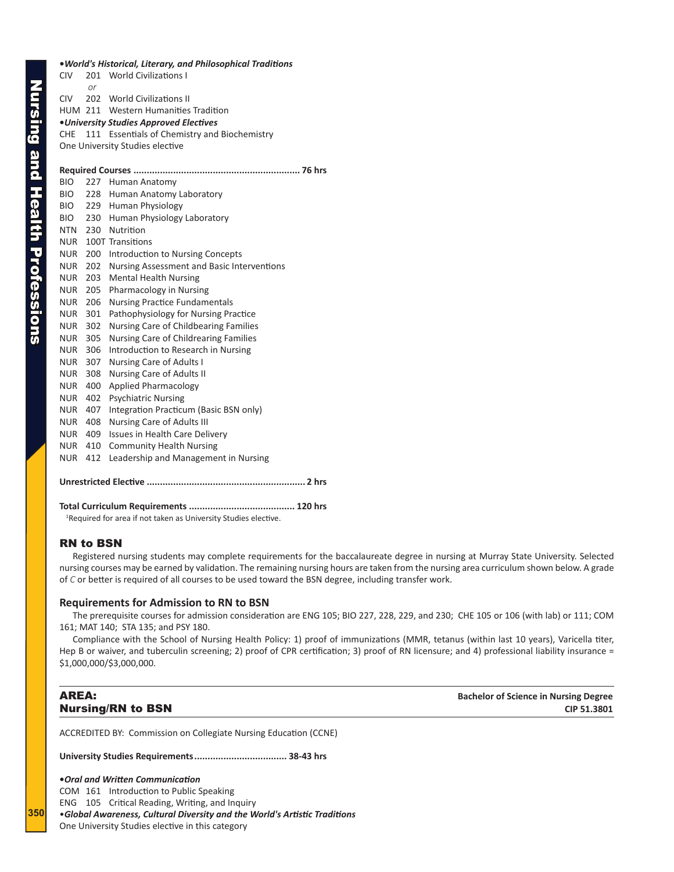<span id="page-15-0"></span>

|                 |                | . World's Historical, Literary, and Philosophical Traditions |
|-----------------|----------------|--------------------------------------------------------------|
| <b>CIV</b>      |                | 201 World Civilizations I                                    |
|                 | or             |                                                              |
| CIV <sub></sub> |                | 202 World Civilizations II                                   |
|                 |                | HUM 211 Western Humanities Tradition                         |
|                 |                | •University Studies Approved Electives                       |
| CHE             |                | 111 Essentials of Chemistry and Biochemistry                 |
|                 |                | One University Studies elective                              |
|                 |                |                                                              |
|                 |                |                                                              |
| <b>BIO</b>      |                | 227 Human Anatomy                                            |
| <b>BIO</b>      | 228            | Human Anatomy Laboratory                                     |
| BIO.            | 229            | <b>Human Physiology</b>                                      |
| BIO.            | 230            | Human Physiology Laboratory                                  |
| <b>NTN</b>      | 230            | Nutrition                                                    |
| <b>NUR</b>      |                | 100T Transitions                                             |
| <b>NUR</b>      | 200            | Introduction to Nursing Concepts                             |
| <b>NUR</b>      | 202            | Nursing Assessment and Basic Interventions                   |
| <b>NUR</b>      | 203            | <b>Mental Health Nursing</b>                                 |
| <b>NUR</b>      | 205            | Pharmacology in Nursing                                      |
| <b>NUR</b>      | 206            | <b>Nursing Practice Fundamentals</b>                         |
| <b>NUR</b>      | 301            | Pathophysiology for Nursing Practice                         |
| <b>NUR</b>      | 302            | Nursing Care of Childbearing Families                        |
| <b>NUR</b>      | 305            | Nursing Care of Childrearing Families                        |
| <b>NUR</b>      | 306            | Introduction to Research in Nursing                          |
| <b>NUR</b>      | 307            | <b>Nursing Care of Adults I</b>                              |
| <b>NUR</b>      | 308            | Nursing Care of Adults II                                    |
| <b>NUR</b>      | 400            | <b>Applied Pharmacology</b>                                  |
| <b>NUR</b>      | 402            | <b>Psychiatric Nursing</b>                                   |
| <b>NUR</b>      | 407            | Integration Practicum (Basic BSN only)                       |
| <b>NUR</b>      | 408            | <b>Nursing Care of Adults III</b>                            |
| <b>NUR</b>      | 409            | Issues in Health Care Delivery                               |
|                 | $\overline{A}$ | and a constant to the collection Microsoft and               |

- NUR 410 Community Health Nursing
- NUR 412 Leadership and Management in Nursing

### **Unrestricted Elective ............................................................ 2 hrs**

**Total Curriculum Requirements ........................................ 120 hrs**

<sup>1</sup>Required for area if not taken as University Studies elective.

### RN to BSN

Registered nursing students may complete requirements for the baccalaureate degree in nursing at Murray State University. Selected nursing courses may be earned by validation. The remaining nursing hours are taken from the nursing area curriculum shown below. A grade of *C* or better is required of all courses to be used toward the BSN degree, including transfer work.

### **Requirements for Admission to RN to BSN**

The prerequisite courses for admission consideration are ENG 105; BIO 227, 228, 229, and 230; CHE 105 or 106 (with lab) or 111; COM 161; MAT 140; STA 135; and PSY 180.

Compliance with the School of Nursing Health Policy: 1) proof of immunizations (MMR, tetanus (within last 10 years), Varicella titer, Hep B or waiver, and tuberculin screening; 2) proof of CPR certification; 3) proof of RN licensure; and 4) professional liability insurance = \$1,000,000/\$3,000,000.

**AREA: Bachelor of Science in Nursing Degree Bachelor of Science in Nursing Degree Nursing/RN to BSN** CIP 51.3801

ACCREDITED BY: Commission on Collegiate Nursing Education (CCNE)

**University Studies Requirements................................... 38-43 hrs**

**•***Oral and Written Communication* COM 161 Introduction to Public Speaking ENG 105 Critical Reading, Writing, and Inquiry •*Global Awareness, Cultural Diversity and the World's Artistic Traditions* One University Studies elective in this category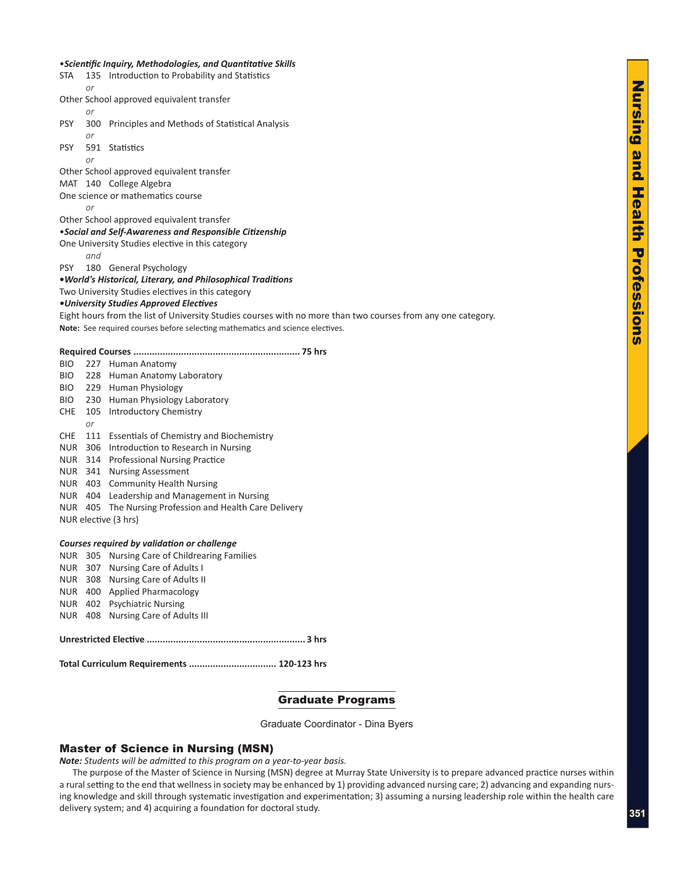### •*Scientific Inquiry, Methodologies, and Quantitative Skills*

| STA        |           | 135 Introduction to Probability and Statistics                                                               |
|------------|-----------|--------------------------------------------------------------------------------------------------------------|
|            | <b>or</b> |                                                                                                              |
|            |           | Other School approved equivalent transfer                                                                    |
|            | <b>or</b> |                                                                                                              |
| <b>PSY</b> |           | 300 Principles and Methods of Statistical Analysis                                                           |
|            | or        |                                                                                                              |
| <b>PSY</b> |           | 591 Statistics                                                                                               |
|            | <i>or</i> |                                                                                                              |
|            |           | Other School approved equivalent transfer                                                                    |
|            |           | MAT 140 College Algebra                                                                                      |
|            |           | One science or mathematics course                                                                            |
|            | or        |                                                                                                              |
|            |           | Other School approved equivalent transfer                                                                    |
|            |           | . Social and Self-Awareness and Responsible Citizenship                                                      |
|            |           | One University Studies elective in this category                                                             |
|            | and       |                                                                                                              |
| <b>PSY</b> |           | 180 General Psychology                                                                                       |
|            |           | . World's Historical, Literary, and Philosophical Traditions                                                 |
|            |           | Two University Studies electives in this category                                                            |
|            |           | .University Studies Approved Electives                                                                       |
|            |           | Eight hours from the list of University Studies courses with no more than two courses from any one category. |
|            |           | Note: See required courses before selecting mathematics and science electives.                               |
|            |           |                                                                                                              |
|            |           |                                                                                                              |
| BIO        |           | 227 Human Anatomy                                                                                            |
| BIO        |           | 228 Human Anatomy Laboratory                                                                                 |
| BIO        |           | 229 Human Physiology                                                                                         |
| BIO        |           | 230 Human Physiology Laboratory                                                                              |
| <b>CHE</b> |           | 105 Introductory Chemistry                                                                                   |
|            | or        |                                                                                                              |
|            |           | CHE 111 Essentials of Chemistry and Biochemistry                                                             |
|            |           | NUR 306 Introduction to Research in Nursing                                                                  |
|            |           | NUR 314 Professional Nursing Practice                                                                        |
|            |           | NUR 341 Nursing Assessment                                                                                   |
|            |           | NUR 403 Community Health Nursing                                                                             |
|            |           | NUR 404 Leadership and Management in Nursing                                                                 |
|            |           | NUR 405 The Nursing Profession and Health Care Delivery                                                      |
|            |           | NUR elective (3 hrs)                                                                                         |
|            |           |                                                                                                              |
|            |           | Courses required by validation or challenge                                                                  |
|            |           | NUR 305 Nursing Care of Childrearing Families                                                                |
|            |           | NUR 307 Nursing Care of Adults I                                                                             |
| NUR        |           | 308 Nursing Care of Adults II                                                                                |
|            |           | NUR 400 Applied Pharmacology                                                                                 |
|            |           | NUR 402 Psychiatric Nursing                                                                                  |
|            |           | NUR 408 Nursing Care of Adults III                                                                           |
|            |           |                                                                                                              |
|            |           |                                                                                                              |
|            |           |                                                                                                              |
|            |           | Total Curriculum Requirements  120-123 hrs                                                                   |
|            |           |                                                                                                              |

### Graduate Programs

Graduate Coordinator - Dina Byers

### Master of Science in Nursing (MSN)

*Note: Students will be admitted to this program on a year-to-year basis.* 

The purpose of the Master of Science in Nursing (MSN) degree at Murray State University is to prepare advanced practice nurses within a rural setting to the end that wellness in society may be enhanced by 1) providing advanced nursing care; 2) advancing and expanding nursing knowledge and skill through systematic investigation and experimentation; 3) assuming a nursing leadership role within the health care delivery system; and 4) acquiring a foundation for doctoral study.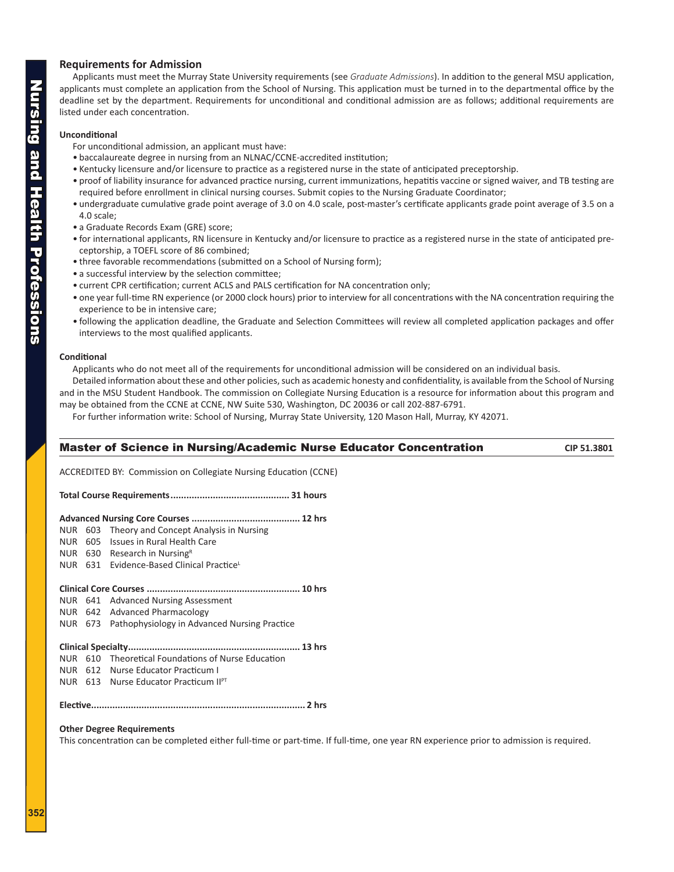### <span id="page-17-0"></span>**Requirements for Admission**

Applicants must meet the Murray State University requirements (see *Graduate Admissions*). In addition to the general MSU application, applicants must complete an application from the School of Nursing. This application must be turned in to the departmental office by the deadline set by the department. Requirements for unconditional and conditional admission are as follows; additional requirements are listed under each concentration.

### **Unconditional**

- For unconditional admission, an applicant must have:
- baccalaureate degree in nursing from an NLNAC/CCNE-accredited institution;
- Kentucky licensure and/or licensure to practice as a registered nurse in the state of anticipated preceptorship.
- proof of liability insurance for advanced practice nursing, current immunizations, hepatitis vaccine or signed waiver, and TB testing are required before enrollment in clinical nursing courses. Submit copies to the Nursing Graduate Coordinator;
- undergraduate cumulative grade point average of 3.0 on 4.0 scale, post-master's certificate applicants grade point average of 3.5 on a 4.0 scale;
- a Graduate Records Exam (GRE) score;
- for international applicants, RN licensure in Kentucky and/or licensure to practice as a registered nurse in the state of anticipated preceptorship, a TOEFL score of 86 combined;
- three favorable recommendations (submitted on a School of Nursing form);
- a successful interview by the selection committee;
- current CPR certification; current ACLS and PALS certification for NA concentration only;
- one year full-time RN experience (or 2000 clock hours) prior to interview for all concentrations with the NA concentration requiring the experience to be in intensive care;
- following the application deadline, the Graduate and Selection Committees will review all completed application packages and offer interviews to the most qualified applicants.

### **Conditional**

Applicants who do not meet all of the requirements for unconditional admission will be considered on an individual basis.

Detailed information about these and other policies, such as academic honesty and confidentiality, is available from the School of Nursing and in the MSU Student Handbook. The commission on Collegiate Nursing Education is a resource for information about this program and may be obtained from the CCNE at CCNE, NW Suite 530, Washington, DC 20036 or call 202-887-6791.

For further information write: School of Nursing, Murray State University, 120 Mason Hall, Murray, KY 42071.

### **Master of Science in Nursing/Academic Nurse Educator Concentration <b>CIP 51.3801** CIP 51.3801

ACCREDITED BY: Commission on Collegiate Nursing Education (CCNE)

**Total Course Requirements............................................. 31 hours**

### **Advanced Nursing Core Courses ......................................... 12 hrs**

- NUR 603 Theory and Concept Analysis in Nursing
- NUR 605 Issues in Rural Health Care
- NUR 630 Research in Nursing<sup>R</sup>
- NUR 631 Evidence-Based Clinical PracticeL

### **Clinical Core Courses .......................................................... 10 hrs**

- NUR 641 Advanced Nursing Assessment
- NUR 642 Advanced Pharmacology
- NUR 673 Pathophysiology in Advanced Nursing Practice

### **Clinical Specialty................................................................. 13 hrs**

- NUR 610 Theoretical Foundations of Nurse Education
- NUR 612 Nurse Educator Practicum I
- NUR 613 Nurse Educator Practicum IIPT

### **Elective................................................................................. 2 hrs**

### **Other Degree Requirements**

This concentration can be completed either full-time or part-time. If full-time, one year RN experience prior to admission is required.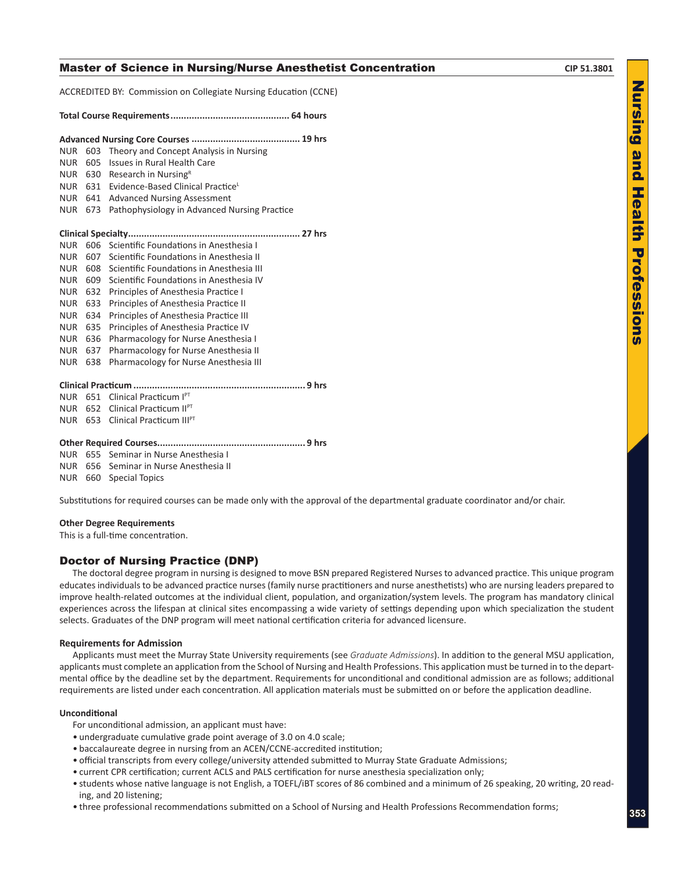### <span id="page-18-0"></span>**Master of Science in Nursing/Nurse Anesthetist Concentration <b>CIP 51.3801** CIP 51.3801

ACCREDITED BY: Commission on Collegiate Nursing Education (CCNE)

### **Total Course Requirements............................................. 64 hours**

| <b>NUR</b> | 603 | Theory and Concept Analysis in Nursing        |
|------------|-----|-----------------------------------------------|
| <b>NUR</b> | 605 | Issues in Rural Health Care                   |
| <b>NUR</b> | 630 | Research in Nursing <sup>R</sup>              |
| <b>NUR</b> | 631 | Evidence-Based Clinical Practice <sup>L</sup> |
| <b>NUR</b> | 641 | <b>Advanced Nursing Assessment</b>            |
| <b>NUR</b> | 673 | Pathophysiology in Advanced Nursing Practice  |
|            |     |                                               |
| NUR.       | 606 | Scientific Foundations in Anesthesia L        |
| <b>NUR</b> | 607 | Scientific Foundations in Anesthesia II       |
| <b>NUR</b> | 608 | Scientific Foundations in Anesthesia III      |
| <b>NUR</b> | 609 | Scientific Foundations in Anesthesia IV       |
| <b>NUR</b> | 632 | Principles of Anesthesia Practice I           |
| <b>NUR</b> | 633 | Principles of Anesthesia Practice II          |
| <b>NUR</b> | 634 | Principles of Anesthesia Practice III         |
| <b>NUR</b> | 635 | Principles of Anesthesia Practice IV          |
| <b>NUR</b> | 636 | Pharmacology for Nurse Anesthesia I           |
| <b>NUR</b> | 637 | Pharmacology for Nurse Anesthesia II          |
| <b>NUR</b> | 638 | Pharmacology for Nurse Anesthesia III         |
|            |     |                                               |
| NUR        |     | 651 Clinical Practicum IPT                    |
| <b>NUR</b> |     | 652 Clinical Practicum II <sup>PT</sup>       |

NUR 653 Clinical Practicum IIIPT

### **Other Required Courses........................................................ 9 hrs**

NUR 655 Seminar in Nurse Anesthesia I

NUR 656 Seminar in Nurse Anesthesia II

NUR 660 Special Topics

Substitutions for required courses can be made only with the approval of the departmental graduate coordinator and/or chair.

### **Other Degree Requirements**

This is a full-time concentration.

### Doctor of Nursing Practice (DNP)

The doctoral degree program in nursing is designed to move BSN prepared Registered Nurses to advanced practice. This unique program educates individuals to be advanced practice nurses (family nurse practitioners and nurse anesthetists) who are nursing leaders prepared to improve health-related outcomes at the individual client, population, and organization/system levels. The program has mandatory clinical experiences across the lifespan at clinical sites encompassing a wide variety of settings depending upon which specialization the student selects. Graduates of the DNP program will meet national certification criteria for advanced licensure.

### **Requirements for Admission**

Applicants must meet the Murray State University requirements (see *Graduate Admissions*). In addition to the general MSU application, applicants must complete an application from the School of Nursing and Health Professions. This application must be turned in to the departmental office by the deadline set by the department. Requirements for unconditional and conditional admission are as follows; additional requirements are listed under each concentration. All application materials must be submitted on or before the application deadline.

### **Unconditional**

For unconditional admission, an applicant must have:

- undergraduate cumulative grade point average of 3.0 on 4.0 scale;
- baccalaureate degree in nursing from an ACEN/CCNE-accredited institution;
- official transcripts from every college/university attended submitted to Murray State Graduate Admissions;
- current CPR certification; current ACLS and PALS certification for nurse anesthesia specialization only;
- students whose native language is not English, a TOEFL/iBT scores of 86 combined and a minimum of 26 speaking, 20 writing, 20 reading, and 20 listening;
- three professional recommendations submitted on a School of Nursing and Health Professions Recommendation forms;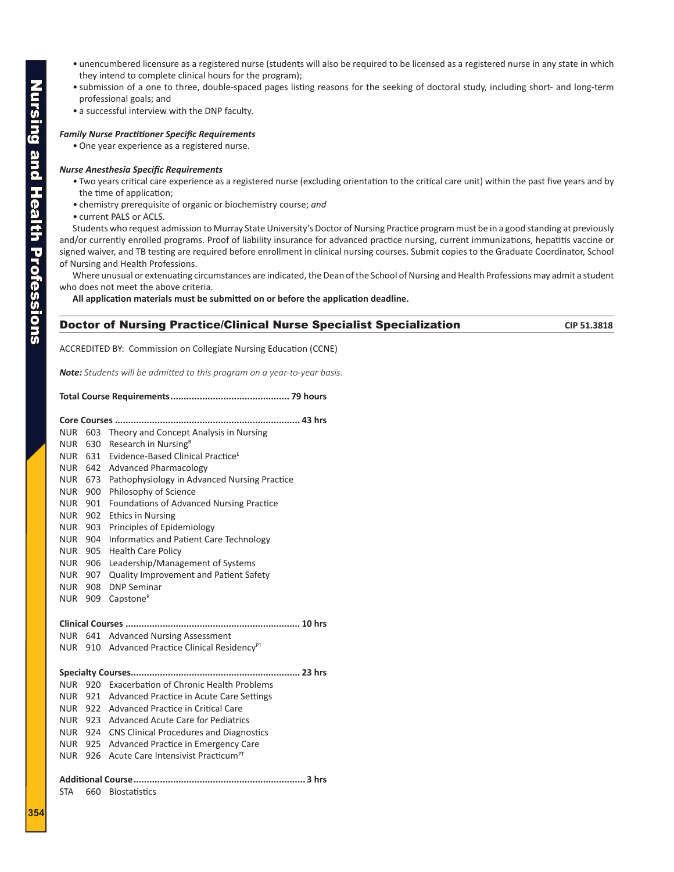- **Nursing and Health Professions** Nursing and Health Professions
- unencumbered licensure as a registered nurse (students will also be required to be licensed as a registered nurse in any state in which they intend to complete clinical hours for the program);
- submission of a one to three, double-spaced pages listing reasons for the seeking of doctoral study, including short- and long-term professional goals; and
- a successful interview with the DNP faculty.

### *Family Nurse Practitioner Specific Requirements*

• One year experience as a registered nurse.

### *Nurse Anesthesia Specific Requirements*

- Two years critical care experience as a registered nurse (excluding orientation to the critical care unit) within the past five years and by the time of application;
- chemistry prerequisite of organic or biochemistry course; *and*
- current PALS or ACLS.

Students who request admission to Murray State University's Doctor of Nursing Practice program must be in a good standing at previously and/or currently enrolled programs. Proof of liability insurance for advanced practice nursing, current immunizations, hepatitis vaccine or signed waiver, and TB testing are required before enrollment in clinical nursing courses. Submit copies to the Graduate Coordinator, School of Nursing and Health Professions.

Where unusual or extenuating circumstances are indicated, the Dean of the School of Nursing and Health Professions may admit a student who does not meet the above criteria.

**All application materials must be submitted on or before the application deadline.**

### **Doctor of Nursing Practice/Clinical Nurse Specialist Specialization**  CIP 51.3818

ACCREDITED BY: Commission on Collegiate Nursing Education (CCNE)

*Note: Students will be admitted to this program on a year-to-year basis.*

### **Total Course Requirements............................................. 79 hours**

| <b>NUR</b> |                | 603 Theory and Concept Analysis in Nursing                 |
|------------|----------------|------------------------------------------------------------|
| <b>NUR</b> | 630            | Research in Nursing <sup>R</sup>                           |
| <b>NUR</b> | 631            | Evidence-Based Clinical Practice                           |
|            |                | NUR 642 Advanced Pharmacology                              |
| <b>NUR</b> | 673            | Pathophysiology in Advanced Nursing Practice               |
| <b>NUR</b> | 900            | Philosophy of Science                                      |
| <b>NUR</b> | 901            | Foundations of Advanced Nursing Practice                   |
| <b>NUR</b> | 902            | <b>Ethics in Nursing</b>                                   |
| <b>NUR</b> | 903            | Principles of Epidemiology                                 |
| <b>NUR</b> | 904            | Informatics and Patient Care Technology                    |
| <b>NUR</b> | 905            | <b>Health Care Policy</b>                                  |
|            | <b>NUR 906</b> | Leadership/Management of Systems                           |
|            | NUR 907        | <b>Quality Improvement and Patient Safety</b>              |
| NUR        | 908            | <b>DNP Seminar</b>                                         |
| <b>NUR</b> | 909            | Capstone <sup>R</sup>                                      |
|            |                |                                                            |
|            |                |                                                            |
| <b>NUR</b> |                | 641 Advanced Nursing Assessment                            |
|            |                | NUR 910 Advanced Practice Clinical Residency <sup>PT</sup> |
|            |                |                                                            |
| <b>NUR</b> |                | 920 Exacerbation of Chronic Health Problems                |
| <b>NUR</b> |                | 921 Advanced Practice in Acute Care Settings               |
| <b>NUR</b> |                | 922 Advanced Practice in Critical Care                     |
| <b>NUR</b> |                | 923 Advanced Acute Care for Pediatrics                     |
|            |                | NUR 924 CNS Clinical Procedures and Diagnostics            |
|            |                | NUR 925 Advanced Practice in Emergency Care                |
| <b>NUR</b> | 926            | Acute Care Intensivist Practicum <sup>PT</sup>             |
|            |                |                                                            |
| <b>STA</b> | 660            | <b>Biostatistics</b>                                       |
|            |                |                                                            |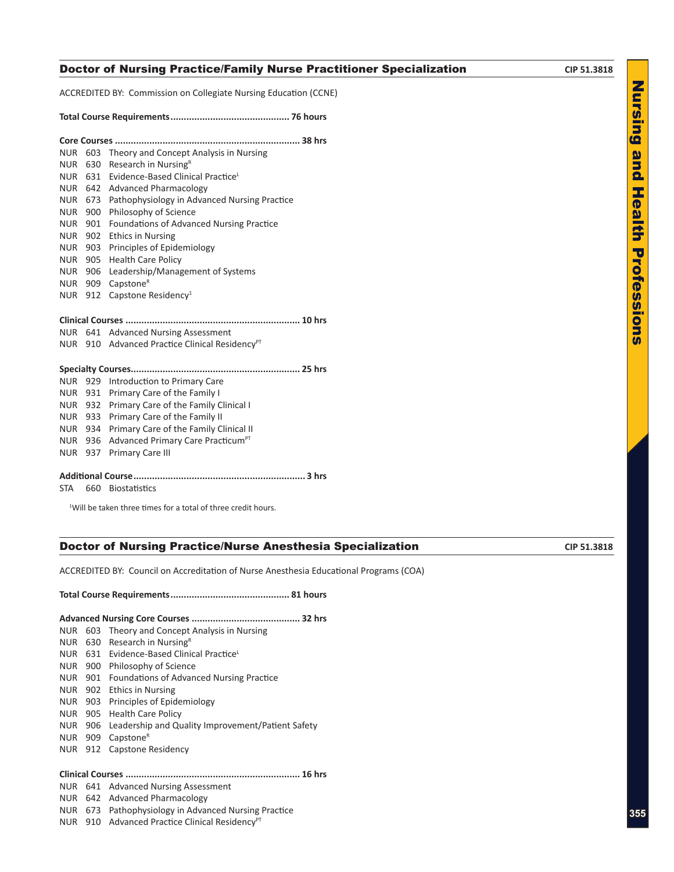### **Doctor of Nursing Practice/Family Nurse Practitioner Specialization <b>CIP 51.3818**

ACCREDITED BY: Commission on Collegiate Nursing Education (CCNE)

|--|--|--|--|

| <b>NUR</b> | 603 | Theory and Concept Analysis in Nursing                     |  |  |
|------------|-----|------------------------------------------------------------|--|--|
| <b>NUR</b> | 630 | Research in Nursing <sup>R</sup>                           |  |  |
| <b>NUR</b> | 631 | Evidence-Based Clinical Practice <sup>L</sup>              |  |  |
| <b>NUR</b> |     | 642 Advanced Pharmacology                                  |  |  |
| <b>NUR</b> | 673 | Pathophysiology in Advanced Nursing Practice               |  |  |
| <b>NUR</b> | 900 | Philosophy of Science                                      |  |  |
| <b>NUR</b> | 901 | Foundations of Advanced Nursing Practice                   |  |  |
| <b>NUR</b> | 902 | <b>Ethics in Nursing</b>                                   |  |  |
| <b>NUR</b> | 903 | Principles of Epidemiology                                 |  |  |
| <b>NUR</b> | 905 | <b>Health Care Policy</b>                                  |  |  |
| <b>NUR</b> | 906 | Leadership/Management of Systems                           |  |  |
| <b>NUR</b> | 909 | Capstone <sup>R</sup>                                      |  |  |
| NUR        | 912 | Capstone Residency <sup>1</sup>                            |  |  |
|            |     |                                                            |  |  |
|            |     |                                                            |  |  |
| NUR        |     | 641 Advanced Nursing Assessment                            |  |  |
|            |     | NUR 910 Advanced Practice Clinical Residency <sup>PT</sup> |  |  |
|            |     |                                                            |  |  |
|            |     |                                                            |  |  |
| <b>NUR</b> |     | 929 Introduction to Primary Care                           |  |  |
| <b>NUR</b> | 931 | Primary Care of the Family I                               |  |  |
| <b>NUR</b> | 932 | Primary Care of the Family Clinical I                      |  |  |
| <b>NUR</b> | 933 | Primary Care of the Family II                              |  |  |
| <b>NUR</b> | 934 | Primary Care of the Family Clinical II                     |  |  |
| <b>NUR</b> | 936 | Advanced Primary Care Practicum <sup>PT</sup>              |  |  |
| NUR        | 937 | Primary Care III                                           |  |  |
|            |     |                                                            |  |  |

STA 660 Biostatistics

<sup>1</sup>Will be taken three times for a total of three credit hours.

### **Doctor of Nursing Practice/Nurse Anesthesia Specialization CIP 51.3818** CIP 51.3818

ACCREDITED BY: Council on Accreditation of Nurse Anesthesia Educational Programs (COA)

**Total Course Requirements............................................. 81 hours**

|--|--|--|--|

- NUR 603 Theory and Concept Analysis in Nursing
- NUR  $630$  Research in Nursing<sup>R</sup> NUR 631 Evidence-Based Clinical PracticeL
- NUR 900 Philosophy of Science
- NUR 901 Foundations of Advanced Nursing Practice
- NUR 902 Ethics in Nursing
- NUR 903 Principles of Epidemiology
- 
- NUR 905 Health Care Policy
- NUR 906 Leadership and Quality Improvement/Patient Safety
- NUR 909 Capstone<sup>R</sup>
- NUR 912 Capstone Residency

### **Clinical Courses .................................................................. 16 hrs**

- NUR 641 Advanced Nursing Assessment
- NUR 642 Advanced Pharmacology
- NUR 673 Pathophysiology in Advanced Nursing Practice
- NUR 910 Advanced Practice Clinical Residency<sup>PT</sup>